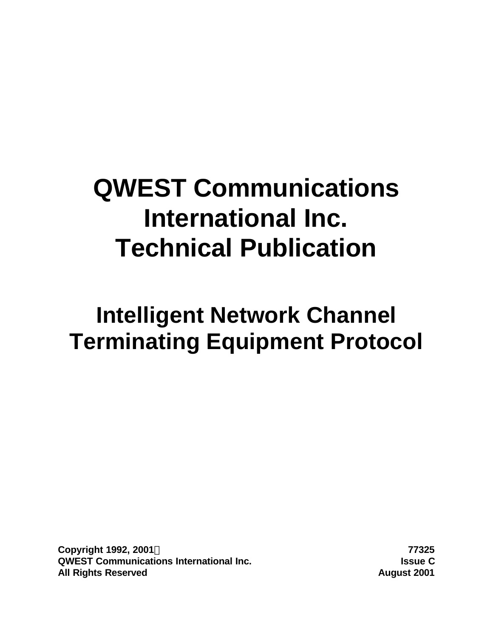# **QWEST Communications International Inc. Technical Publication**

# **Intelligent Network Channel Terminating Equipment Protocol**

**Copyright 1992, 2001Ó 77325 QWEST Communications International Inc. Issue C All Rights Reserved August 2001**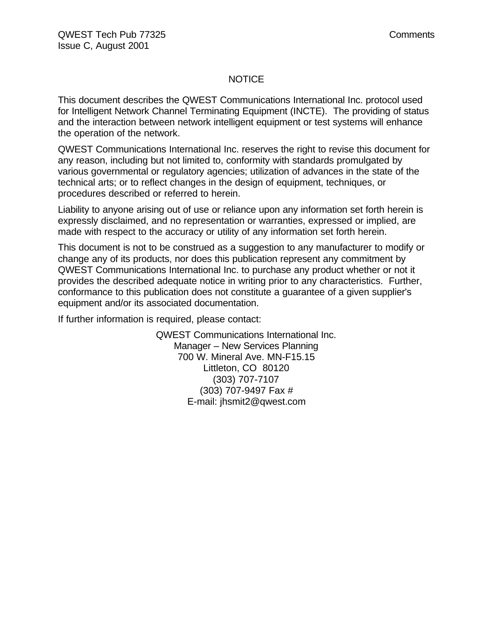#### **NOTICE**

This document describes the QWEST Communications International Inc. protocol used for Intelligent Network Channel Terminating Equipment (INCTE). The providing of status and the interaction between network intelligent equipment or test systems will enhance the operation of the network.

QWEST Communications International Inc. reserves the right to revise this document for any reason, including but not limited to, conformity with standards promulgated by various governmental or regulatory agencies; utilization of advances in the state of the technical arts; or to reflect changes in the design of equipment, techniques, or procedures described or referred to herein.

Liability to anyone arising out of use or reliance upon any information set forth herein is expressly disclaimed, and no representation or warranties, expressed or implied, are made with respect to the accuracy or utility of any information set forth herein.

This document is not to be construed as a suggestion to any manufacturer to modify or change any of its products, nor does this publication represent any commitment by QWEST Communications International Inc. to purchase any product whether or not it provides the described adequate notice in writing prior to any characteristics. Further, conformance to this publication does not constitute a guarantee of a given supplier's equipment and/or its associated documentation.

If further information is required, please contact:

QWEST Communications International Inc. Manager – New Services Planning 700 W. Mineral Ave. MN-F15.15 Littleton, CO 80120 (303) 707-7107 (303) 707-9497 Fax # E-mail: jhsmit2@qwest.com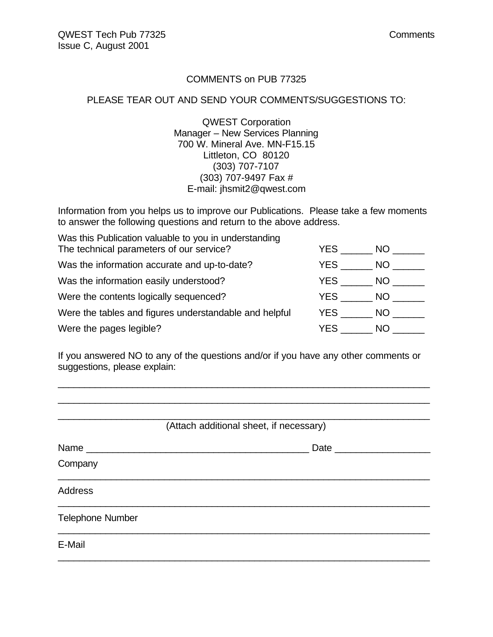#### COMMENTS on PUB 77325

### PLEASE TEAR OUT AND SEND YOUR COMMENTS/SUGGESTIONS TO:

QWEST Corporation Manager – New Services Planning 700 W. Mineral Ave. MN-F15.15 Littleton, CO 80120 (303) 707-7107 (303) 707-9497 Fax # E-mail: jhsmit2@qwest.com

Information from you helps us to improve our Publications. Please take a few moments to answer the following questions and return to the above address.

| Was this Publication valuable to you in understanding  |      |      |
|--------------------------------------------------------|------|------|
| The technical parameters of our service?               | YES. | NO.  |
| Was the information accurate and up-to-date?           | YES. | NO.  |
| Was the information easily understood?                 | YES  | NO.  |
| Were the contents logically sequenced?                 | YES  | NO - |
| Were the tables and figures understandable and helpful | YES  | NO.  |
| Were the pages legible?                                | YES  | NO.  |

If you answered NO to any of the questions and/or if you have any other comments or suggestions, please explain:

\_\_\_\_\_\_\_\_\_\_\_\_\_\_\_\_\_\_\_\_\_\_\_\_\_\_\_\_\_\_\_\_\_\_\_\_\_\_\_\_\_\_\_\_\_\_\_\_\_\_\_\_\_\_\_\_\_\_\_\_\_\_\_\_\_\_\_\_\_\_ \_\_\_\_\_\_\_\_\_\_\_\_\_\_\_\_\_\_\_\_\_\_\_\_\_\_\_\_\_\_\_\_\_\_\_\_\_\_\_\_\_\_\_\_\_\_\_\_\_\_\_\_\_\_\_\_\_\_\_\_\_\_\_\_\_\_\_\_\_\_

| (Attach additional sheet, if necessary) |                 |  |  |
|-----------------------------------------|-----------------|--|--|
|                                         | Date __________ |  |  |
| Company                                 |                 |  |  |
| <b>Address</b>                          |                 |  |  |
| <b>Telephone Number</b>                 |                 |  |  |
| E-Mail                                  |                 |  |  |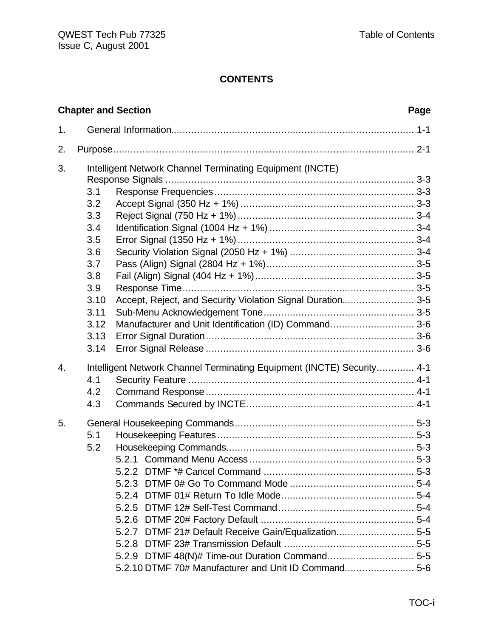|    | <b>Chapter and Section</b>                                                                                                                                                                                                                                                              | Page |
|----|-----------------------------------------------------------------------------------------------------------------------------------------------------------------------------------------------------------------------------------------------------------------------------------------|------|
| 1. |                                                                                                                                                                                                                                                                                         |      |
| 2. |                                                                                                                                                                                                                                                                                         |      |
| 3. | Intelligent Network Channel Terminating Equipment (INCTE)<br>3.1<br>3.2<br>3.3<br>3.4<br>3.5<br>3.6<br>3.7<br>3.8<br>3.9<br>3.10<br>Accept, Reject, and Security Violation Signal Duration 3-5<br>3.11<br>Manufacturer and Unit Identification (ID) Command 3-6<br>3.12<br>3.13<br>3.14 |      |
| 4. | Intelligent Network Channel Terminating Equipment (INCTE) Security 4-1<br>4.1<br>4.2<br>4.3                                                                                                                                                                                             |      |
| 5. | 5.1<br>5.2<br>5.2.7 DTMF 21# Default Receive Gain/Equalization 5-5<br>5.2.9 DTMF 48(N)# Time-out Duration Command 5-5<br>5.2.10 DTMF 70# Manufacturer and Unit ID Command 5-6                                                                                                           |      |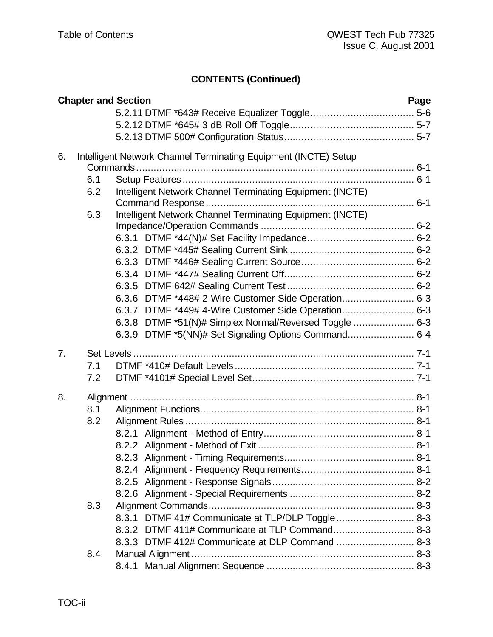# **CONTENTS (Continued)**

|    | <b>Chapter and Section</b> |       |                                                                 | Page |
|----|----------------------------|-------|-----------------------------------------------------------------|------|
|    |                            |       |                                                                 |      |
|    |                            |       |                                                                 |      |
|    |                            |       |                                                                 |      |
| 6. |                            |       | Intelligent Network Channel Terminating Equipment (INCTE) Setup |      |
|    |                            |       |                                                                 |      |
|    | 6.1                        |       |                                                                 |      |
|    | 6.2                        |       | Intelligent Network Channel Terminating Equipment (INCTE)       |      |
|    |                            |       |                                                                 |      |
|    | 6.3                        |       | Intelligent Network Channel Terminating Equipment (INCTE)       |      |
|    |                            |       |                                                                 |      |
|    |                            |       |                                                                 |      |
|    |                            |       |                                                                 |      |
|    |                            |       |                                                                 |      |
|    |                            |       |                                                                 |      |
|    |                            |       |                                                                 |      |
|    |                            |       | 6.3.6 DTMF *448# 2-Wire Customer Side Operation 6-3             |      |
|    |                            |       | 6.3.7 DTMF *449# 4-Wire Customer Side Operation 6-3             |      |
|    |                            | 6.3.8 | DTMF *51(N)# Simplex Normal/Reversed Toggle  6-3                |      |
|    |                            |       |                                                                 |      |
| 7. |                            |       |                                                                 |      |
|    | 7.1                        |       |                                                                 |      |
|    | 7.2                        |       |                                                                 |      |
| 8. |                            |       |                                                                 |      |
|    | 8.1                        |       |                                                                 |      |
|    | 8.2                        |       |                                                                 |      |
|    |                            |       |                                                                 |      |
|    |                            |       |                                                                 |      |
|    |                            |       |                                                                 |      |
|    |                            |       |                                                                 |      |
|    |                            |       |                                                                 |      |
|    |                            |       |                                                                 |      |
|    | 8.3                        |       |                                                                 |      |
|    |                            |       | 8.3.1 DTMF 41# Communicate at TLP/DLP Toggle 8-3                |      |
|    |                            |       | 8.3.2 DTMF 411# Communicate at TLP Command 8-3                  |      |
|    |                            |       | 8.3.3 DTMF 412# Communicate at DLP Command  8-3                 |      |
|    | 8.4                        |       |                                                                 |      |
|    |                            |       |                                                                 |      |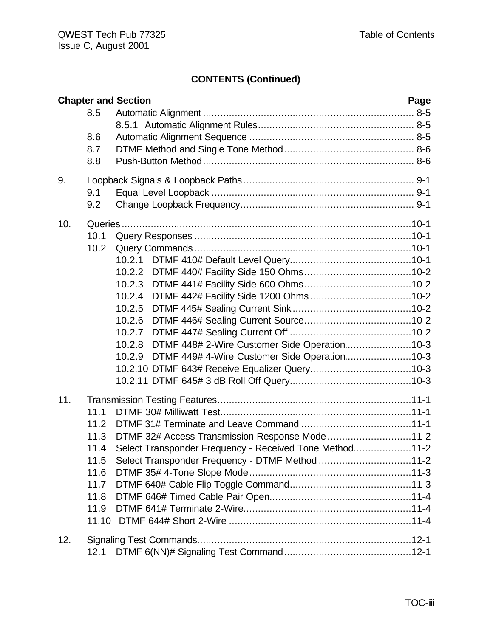# **CONTENTS (Continued)**

|     |                                                                               | <b>Chapter and Section</b><br>Page                                                                                                                           |  |
|-----|-------------------------------------------------------------------------------|--------------------------------------------------------------------------------------------------------------------------------------------------------------|--|
|     | 8.5<br>8.6                                                                    |                                                                                                                                                              |  |
|     | 8.7<br>8.8                                                                    |                                                                                                                                                              |  |
| 9.  | 9.1<br>9.2                                                                    |                                                                                                                                                              |  |
| 10. | 10.1<br>10.2                                                                  | 10.2.1<br>10.2.4<br>10.2.5<br>10.2.7<br>10.2.8 DTMF 448# 2-Wire Customer Side Operation10-3<br>DTMF 449# 4-Wire Customer Side Operation10-3<br>10.2.9        |  |
| 11. | 11.1<br>11.2<br>11.3<br>11.4<br>11.5<br>11.6<br>11.7<br>11.8<br>11.9<br>11.10 | DTMF 32# Access Transmission Response Mode11-2<br>Select Transponder Frequency - Received Tone Method11-2<br>Select Transponder Frequency - DTMF Method 11-2 |  |
| 12. | 12.1                                                                          |                                                                                                                                                              |  |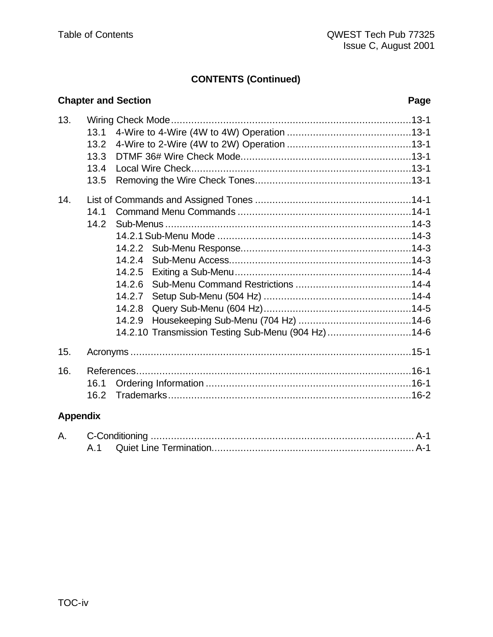# **CONTENTS (Continued)**

#### **Chapter and Section** Page  $13.$  $13.1$  $13.2$  $13.3$  $13.4$  $13.5$  $14.$  $14.1$  $142$ 14.2.10 Transmission Testing Sub-Menu (904 Hz)..............................14-6  $15.$  $16.$  $16.1$  $16.2$

# **Appendix**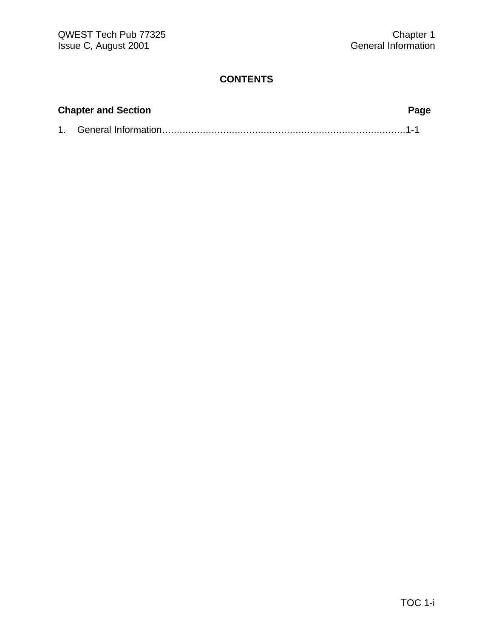| <b>Chapter and Section</b> |  |  |
|----------------------------|--|--|
|                            |  |  |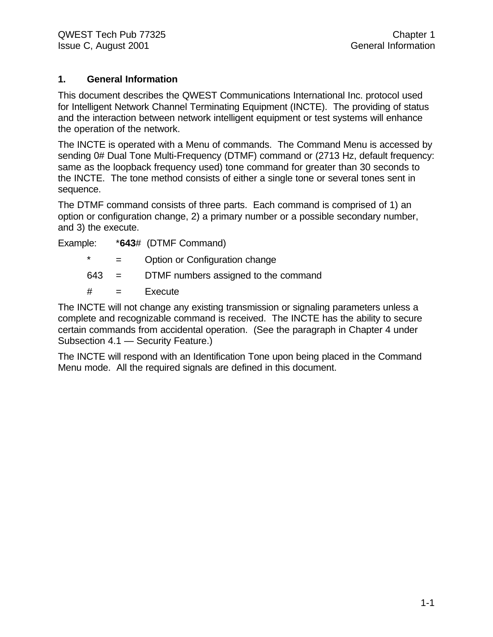### **1. General Information**

This document describes the QWEST Communications International Inc. protocol used for Intelligent Network Channel Terminating Equipment (INCTE). The providing of status and the interaction between network intelligent equipment or test systems will enhance the operation of the network.

The INCTE is operated with a Menu of commands. The Command Menu is accessed by sending 0# Dual Tone Multi-Frequency (DTMF) command or (2713 Hz, default frequency: same as the loopback frequency used) tone command for greater than 30 seconds to the INCTE. The tone method consists of either a single tone or several tones sent in sequence.

The DTMF command consists of three parts. Each command is comprised of 1) an option or configuration change, 2) a primary number or a possible secondary number, and 3) the execute.

| Example: | *643# (DTMF Command) |
|----------|----------------------|
|----------|----------------------|

- \* = Option or Configuration change
- 643 = DTMF numbers assigned to the command
- $#$  = Execute

The INCTE will not change any existing transmission or signaling parameters unless a complete and recognizable command is received. The INCTE has the ability to secure certain commands from accidental operation. (See the paragraph in Chapter 4 under Subsection 4.1 — Security Feature.)

The INCTE will respond with an Identification Tone upon being placed in the Command Menu mode. All the required signals are defined in this document.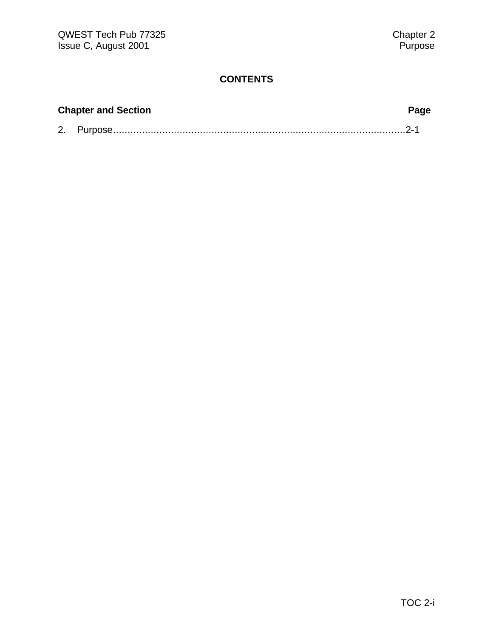| <b>Chapter and Section</b> |  |  |
|----------------------------|--|--|
|                            |  |  |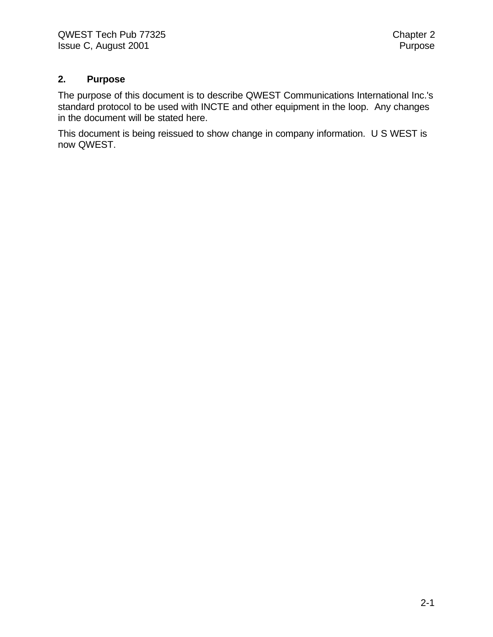#### **2. Purpose**

The purpose of this document is to describe QWEST Communications International Inc.'s standard protocol to be used with INCTE and other equipment in the loop. Any changes in the document will be stated here.

This document is being reissued to show change in company information. U S WEST is now QWEST.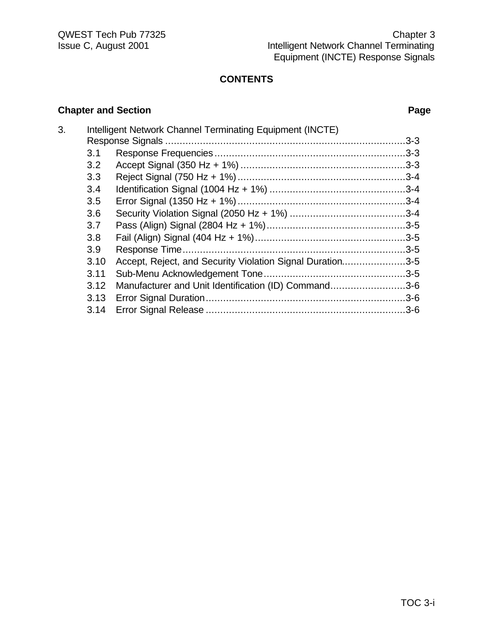### **Chapter and Section Page**

| 3. |      | Intelligent Network Channel Terminating Equipment (INCTE) |  |
|----|------|-----------------------------------------------------------|--|
|    |      |                                                           |  |
|    | 3.1  |                                                           |  |
|    | 3.2  |                                                           |  |
|    | 3.3  |                                                           |  |
|    | 3.4  |                                                           |  |
|    | 3.5  |                                                           |  |
|    | 3.6  |                                                           |  |
|    | 3.7  |                                                           |  |
|    | 3.8  |                                                           |  |
|    | 3.9  |                                                           |  |
|    | 3.10 | Accept, Reject, and Security Violation Signal Duration3-5 |  |
|    | 3.11 |                                                           |  |
|    | 3.12 | Manufacturer and Unit Identification (ID) Command3-6      |  |
|    | 3.13 |                                                           |  |
|    | 3.14 |                                                           |  |
|    |      |                                                           |  |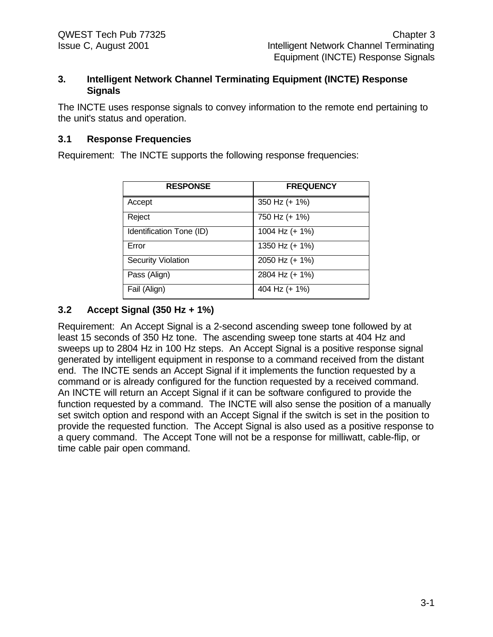#### **3. Intelligent Network Channel Terminating Equipment (INCTE) Response Signals**

The INCTE uses response signals to convey information to the remote end pertaining to the unit's status and operation.

## **3.1 Response Frequencies**

Requirement: The INCTE supports the following response frequencies:

| <b>RESPONSE</b>           | <b>FREQUENCY</b> |
|---------------------------|------------------|
| Accept                    | 350 Hz (+ 1%)    |
| Reject                    | 750 Hz (+ 1%)    |
| Identification Tone (ID)  | 1004 Hz (+ 1%)   |
| Error                     | 1350 Hz (+ 1%)   |
| <b>Security Violation</b> | 2050 Hz (+ 1%)   |
| Pass (Align)              | 2804 Hz (+ 1%)   |
| Fail (Align)              | 404 Hz (+ 1%)    |

# **3.2 Accept Signal (350 Hz + 1%)**

Requirement: An Accept Signal is a 2-second ascending sweep tone followed by at least 15 seconds of 350 Hz tone. The ascending sweep tone starts at 404 Hz and sweeps up to 2804 Hz in 100 Hz steps. An Accept Signal is a positive response signal generated by intelligent equipment in response to a command received from the distant end. The INCTE sends an Accept Signal if it implements the function requested by a command or is already configured for the function requested by a received command. An INCTE will return an Accept Signal if it can be software configured to provide the function requested by a command. The INCTE will also sense the position of a manually set switch option and respond with an Accept Signal if the switch is set in the position to provide the requested function. The Accept Signal is also used as a positive response to a query command. The Accept Tone will not be a response for milliwatt, cable-flip, or time cable pair open command.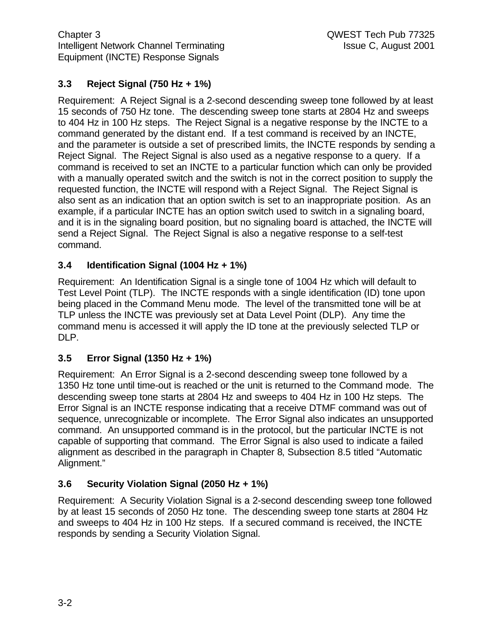# **3.3 Reject Signal (750 Hz + 1%)**

Requirement: A Reject Signal is a 2-second descending sweep tone followed by at least 15 seconds of 750 Hz tone. The descending sweep tone starts at 2804 Hz and sweeps to 404 Hz in 100 Hz steps. The Reject Signal is a negative response by the INCTE to a command generated by the distant end. If a test command is received by an INCTE, and the parameter is outside a set of prescribed limits, the INCTE responds by sending a Reject Signal. The Reject Signal is also used as a negative response to a query. If a command is received to set an INCTE to a particular function which can only be provided with a manually operated switch and the switch is not in the correct position to supply the requested function, the INCTE will respond with a Reject Signal. The Reject Signal is also sent as an indication that an option switch is set to an inappropriate position. As an example, if a particular INCTE has an option switch used to switch in a signaling board, and it is in the signaling board position, but no signaling board is attached, the INCTE will send a Reject Signal. The Reject Signal is also a negative response to a self-test command.

# **3.4 Identification Signal (1004 Hz + 1%)**

Requirement: An Identification Signal is a single tone of 1004 Hz which will default to Test Level Point (TLP). The INCTE responds with a single identification (ID) tone upon being placed in the Command Menu mode. The level of the transmitted tone will be at TLP unless the INCTE was previously set at Data Level Point (DLP). Any time the command menu is accessed it will apply the ID tone at the previously selected TLP or DLP.

# **3.5 Error Signal (1350 Hz + 1%)**

Requirement: An Error Signal is a 2-second descending sweep tone followed by a 1350 Hz tone until time-out is reached or the unit is returned to the Command mode. The descending sweep tone starts at 2804 Hz and sweeps to 404 Hz in 100 Hz steps. The Error Signal is an INCTE response indicating that a receive DTMF command was out of sequence, unrecognizable or incomplete. The Error Signal also indicates an unsupported command. An unsupported command is in the protocol, but the particular INCTE is not capable of supporting that command. The Error Signal is also used to indicate a failed alignment as described in the paragraph in Chapter 8, Subsection 8.5 titled "Automatic Alignment."

# **3.6 Security Violation Signal (2050 Hz + 1%)**

Requirement: A Security Violation Signal is a 2-second descending sweep tone followed by at least 15 seconds of 2050 Hz tone. The descending sweep tone starts at 2804 Hz and sweeps to 404 Hz in 100 Hz steps. If a secured command is received, the INCTE responds by sending a Security Violation Signal.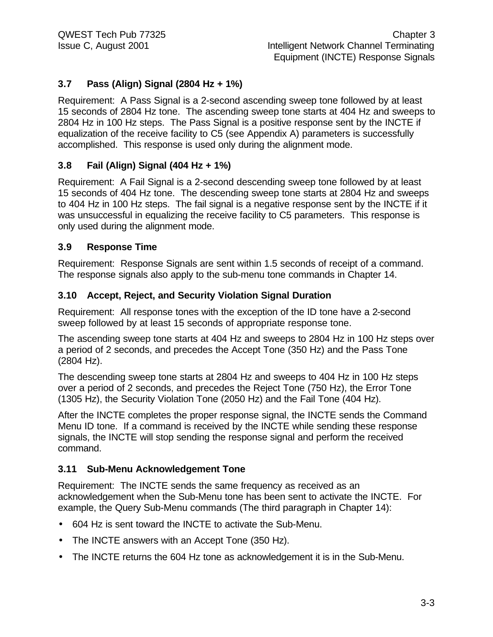# **3.7 Pass (Align) Signal (2804 Hz + 1%)**

Requirement: A Pass Signal is a 2-second ascending sweep tone followed by at least 15 seconds of 2804 Hz tone. The ascending sweep tone starts at 404 Hz and sweeps to 2804 Hz in 100 Hz steps. The Pass Signal is a positive response sent by the INCTE if equalization of the receive facility to C5 (see Appendix A) parameters is successfully accomplished. This response is used only during the alignment mode.

# **3.8 Fail (Align) Signal (404 Hz + 1%)**

Requirement: A Fail Signal is a 2-second descending sweep tone followed by at least 15 seconds of 404 Hz tone. The descending sweep tone starts at 2804 Hz and sweeps to 404 Hz in 100 Hz steps. The fail signal is a negative response sent by the INCTE if it was unsuccessful in equalizing the receive facility to C5 parameters. This response is only used during the alignment mode.

# **3.9 Response Time**

Requirement: Response Signals are sent within 1.5 seconds of receipt of a command. The response signals also apply to the sub-menu tone commands in Chapter 14.

# **3.10 Accept, Reject, and Security Violation Signal Duration**

Requirement: All response tones with the exception of the ID tone have a 2-second sweep followed by at least 15 seconds of appropriate response tone.

The ascending sweep tone starts at 404 Hz and sweeps to 2804 Hz in 100 Hz steps over a period of 2 seconds, and precedes the Accept Tone (350 Hz) and the Pass Tone (2804 Hz).

The descending sweep tone starts at 2804 Hz and sweeps to 404 Hz in 100 Hz steps over a period of 2 seconds, and precedes the Reject Tone (750 Hz), the Error Tone (1305 Hz), the Security Violation Tone (2050 Hz) and the Fail Tone (404 Hz).

After the INCTE completes the proper response signal, the INCTE sends the Command Menu ID tone. If a command is received by the INCTE while sending these response signals, the INCTE will stop sending the response signal and perform the received command.

# **3.11 Sub-Menu Acknowledgement Tone**

Requirement: The INCTE sends the same frequency as received as an acknowledgement when the Sub-Menu tone has been sent to activate the INCTE. For example, the Query Sub-Menu commands (The third paragraph in Chapter 14):

- 604 Hz is sent toward the INCTE to activate the Sub-Menu.
- The INCTE answers with an Accept Tone (350 Hz).
- The INCTE returns the 604 Hz tone as acknowledgement it is in the Sub-Menu.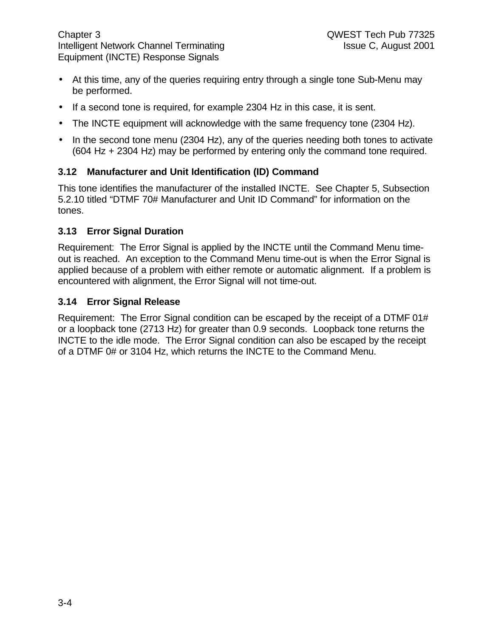- At this time, any of the queries requiring entry through a single tone Sub-Menu may be performed.
- If a second tone is required, for example 2304 Hz in this case, it is sent.
- The INCTE equipment will acknowledge with the same frequency tone (2304 Hz).
- In the second tone menu (2304 Hz), any of the queries needing both tones to activate (604 Hz + 2304 Hz) may be performed by entering only the command tone required.

# **3.12 Manufacturer and Unit Identification (ID) Command**

This tone identifies the manufacturer of the installed INCTE. See Chapter 5, Subsection 5.2.10 titled "DTMF 70# Manufacturer and Unit ID Command" for information on the tones.

# **3.13 Error Signal Duration**

Requirement: The Error Signal is applied by the INCTE until the Command Menu timeout is reached. An exception to the Command Menu time-out is when the Error Signal is applied because of a problem with either remote or automatic alignment. If a problem is encountered with alignment, the Error Signal will not time-out.

### **3.14 Error Signal Release**

Requirement: The Error Signal condition can be escaped by the receipt of a DTMF 01# or a loopback tone (2713 Hz) for greater than 0.9 seconds. Loopback tone returns the INCTE to the idle mode. The Error Signal condition can also be escaped by the receipt of a DTMF 0# or 3104 Hz, which returns the INCTE to the Command Menu.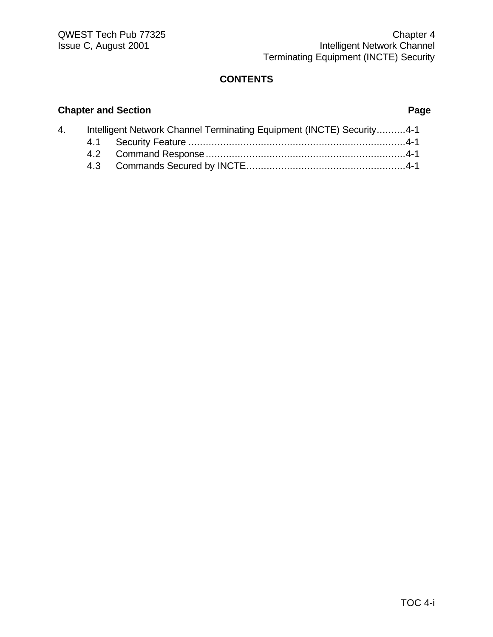### **Chapter and Section Page**

| 4. | Intelligent Network Channel Terminating Equipment (INCTE) Security4-1 |  |
|----|-----------------------------------------------------------------------|--|
|    |                                                                       |  |
|    |                                                                       |  |
|    |                                                                       |  |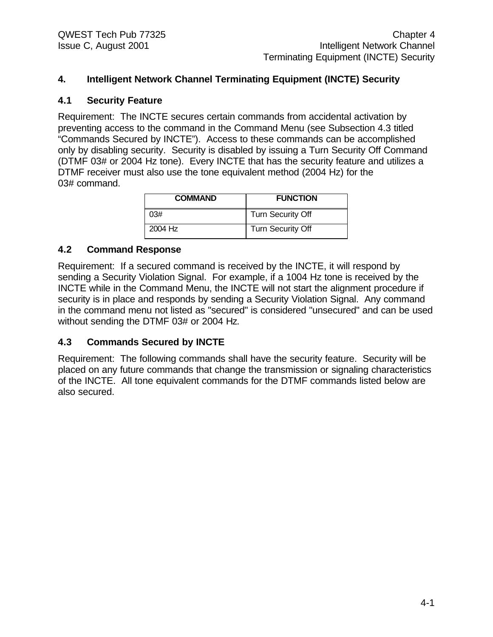#### **4. Intelligent Network Channel Terminating Equipment (INCTE) Security**

#### **4.1 Security Feature**

Requirement: The INCTE secures certain commands from accidental activation by preventing access to the command in the Command Menu (see Subsection 4.3 titled "Commands Secured by INCTE"). Access to these commands can be accomplished only by disabling security. Security is disabled by issuing a Turn Security Off Command (DTMF 03# or 2004 Hz tone). Every INCTE that has the security feature and utilizes a DTMF receiver must also use the tone equivalent method (2004 Hz) for the 03# command.

| <b>COMMAND</b> | <b>FUNCTION</b>          |
|----------------|--------------------------|
| 03#            | Turn Security Off        |
| 2004 Hz        | <b>Turn Security Off</b> |

#### **4.2 Command Response**

Requirement: If a secured command is received by the INCTE, it will respond by sending a Security Violation Signal. For example, if a 1004 Hz tone is received by the INCTE while in the Command Menu, the INCTE will not start the alignment procedure if security is in place and responds by sending a Security Violation Signal. Any command in the command menu not listed as "secured" is considered "unsecured" and can be used without sending the DTMF 03# or 2004 Hz.

#### **4.3 Commands Secured by INCTE**

Requirement: The following commands shall have the security feature. Security will be placed on any future commands that change the transmission or signaling characteristics of the INCTE. All tone equivalent commands for the DTMF commands listed below are also secured.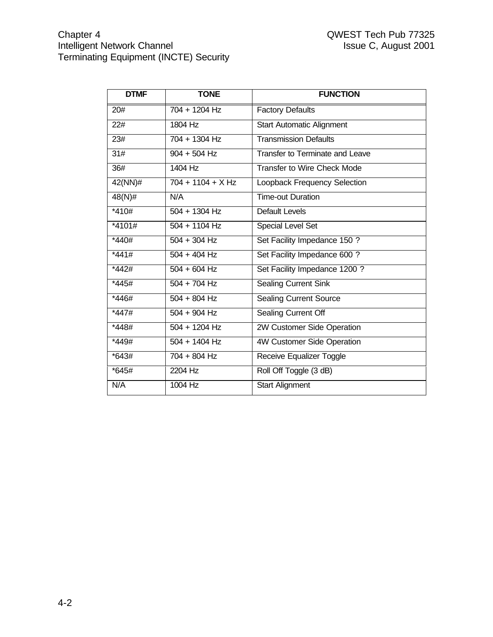| <b>DTMF</b>       | <b>TONE</b>         | <b>FUNCTION</b>                    |
|-------------------|---------------------|------------------------------------|
| 20#               | 704 + 1204 Hz       | <b>Factory Defaults</b>            |
| 22#               | 1804 Hz             | <b>Start Automatic Alignment</b>   |
| 23#               | 704 + 1304 Hz       | <b>Transmission Defaults</b>       |
| $\overline{31\#}$ | $904 + 504$ Hz      | Transfer to Terminate and Leave    |
| 36#               | 1404 Hz             | <b>Transfer to Wire Check Mode</b> |
| $42(NN)\#$        | $704 + 1104 + X Hz$ | Loopback Frequency Selection       |
| $48(N)$ #         | N/A                 | <b>Time-out Duration</b>           |
| $*410#$           | $504 + 1304$ Hz     | <b>Default Levels</b>              |
| $*4101#$          | $504 + 1104$ Hz     | <b>Special Level Set</b>           |
| $*440#$           | $504 + 304$ Hz      | Set Facility Impedance 150 ?       |
| $*441#$           | $504 + 404$ Hz      | Set Facility Impedance 600 ?       |
| $*442#$           | $504 + 604$ Hz      | Set Facility Impedance 1200 ?      |
| $*445#$           | $504 + 704$ Hz      | <b>Sealing Current Sink</b>        |
| $*446#$           | $504 + 804$ Hz      | <b>Sealing Current Source</b>      |
| *447#             | $504 + 904$ Hz      | Sealing Current Off                |
| $*448#$           | $504 + 1204$ Hz     | 2W Customer Side Operation         |
| *449#             | $504 + 1404$ Hz     | 4W Customer Side Operation         |
| $*643#$           | $704 + 804$ Hz      | <b>Receive Equalizer Toggle</b>    |
| $*645#$           | 2204 Hz             | Roll Off Toggle (3 dB)             |
| N/A               | 1004 Hz             | <b>Start Alignment</b>             |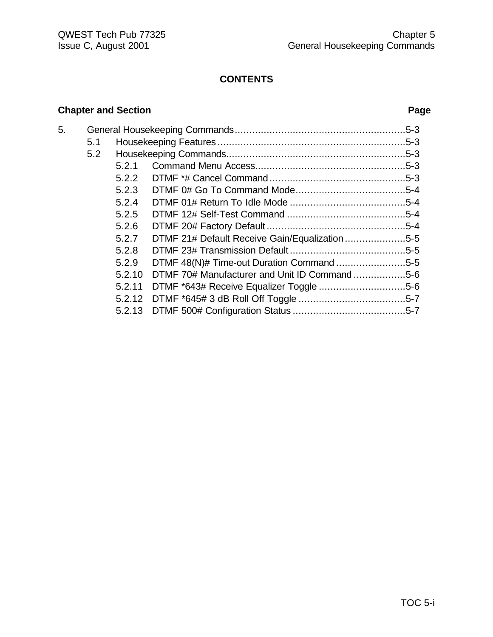# **Chapter and Section Page**

| 5. |     |        |                                                |  |
|----|-----|--------|------------------------------------------------|--|
|    | 5.1 |        |                                                |  |
|    | 5.2 |        |                                                |  |
|    |     | 5.2.1  |                                                |  |
|    |     | 5.2.2  |                                                |  |
|    |     | 5.2.3  |                                                |  |
|    |     | 5.2.4  |                                                |  |
|    |     | 5.2.5  |                                                |  |
|    |     | 5.2.6  |                                                |  |
|    |     | 5.2.7  | DTMF 21# Default Receive Gain/Equalization 5-5 |  |
|    |     | 5.2.8  |                                                |  |
|    |     | 5.2.9  | DTMF 48(N)# Time-out Duration Command 5-5      |  |
|    |     | 5.2.10 | DTMF 70# Manufacturer and Unit ID Command 5-6  |  |
|    |     | 5.2.11 |                                                |  |
|    |     | 5.2.12 |                                                |  |
|    |     | 5.2.13 |                                                |  |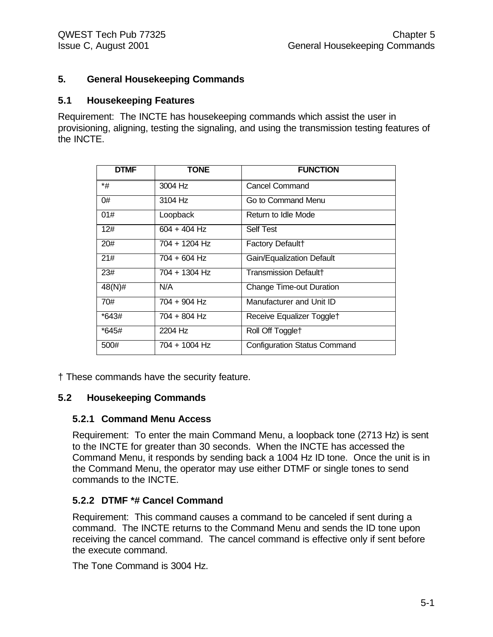# **5. General Housekeeping Commands**

#### **5.1 Housekeeping Features**

Requirement: The INCTE has housekeeping commands which assist the user in provisioning, aligning, testing the signaling, and using the transmission testing features of the INCTE.

| <b>DTMF</b> | <b>TONE</b>    | <b>FUNCTION</b>                     |
|-------------|----------------|-------------------------------------|
| *#          | 3004 Hz        | <b>Cancel Command</b>               |
| 0#          | $3104$ Hz      | Go to Command Menu                  |
| 01#         | Loopback       | Return to Idle Mode                 |
| 12#         | $604 + 404$ Hz | <b>Self Test</b>                    |
| 20#         | 704 + 1204 Hz  | Factory Default+                    |
| 21#         | $704 + 604$ Hz | Gain/Equalization Default           |
| 23#         | 704 + 1304 Hz  | <b>Transmission Default+</b>        |
| 48(N)#      | N/A            | <b>Change Time-out Duration</b>     |
| 70#         | 704 + 904 Hz   | Manufacturer and Unit ID            |
| *643#       | 704 + 804 Hz   | Receive Equalizer Togglet           |
| *645#       | 2204 Hz        | Roll Off Togglet                    |
| 500#        | 704 + 1004 Hz  | <b>Configuration Status Command</b> |

† These commands have the security feature.

#### **5.2 Housekeeping Commands**

#### **5.2.1 Command Menu Access**

Requirement: To enter the main Command Menu, a loopback tone (2713 Hz) is sent to the INCTE for greater than 30 seconds. When the INCTE has accessed the Command Menu, it responds by sending back a 1004 Hz ID tone. Once the unit is in the Command Menu, the operator may use either DTMF or single tones to send commands to the INCTE.

#### **5.2.2 DTMF \*# Cancel Command**

Requirement: This command causes a command to be canceled if sent during a command. The INCTE returns to the Command Menu and sends the ID tone upon receiving the cancel command. The cancel command is effective only if sent before the execute command.

The Tone Command is 3004 Hz.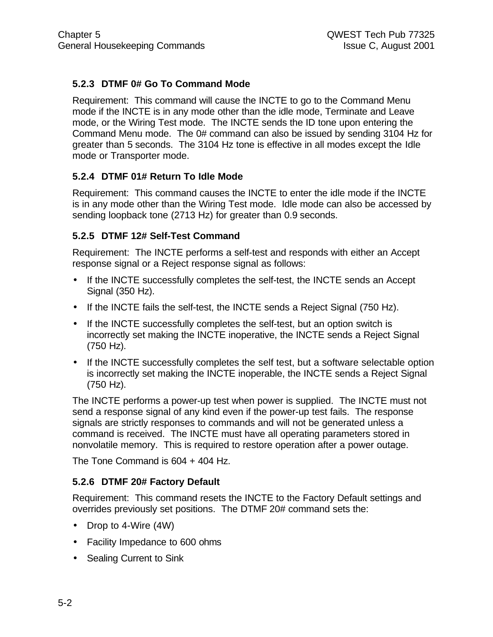# **5.2.3 DTMF 0# Go To Command Mode**

Requirement: This command will cause the INCTE to go to the Command Menu mode if the INCTE is in any mode other than the idle mode, Terminate and Leave mode, or the Wiring Test mode. The INCTE sends the ID tone upon entering the Command Menu mode. The 0# command can also be issued by sending 3104 Hz for greater than 5 seconds. The 3104 Hz tone is effective in all modes except the Idle mode or Transporter mode.

# **5.2.4 DTMF 01# Return To Idle Mode**

Requirement: This command causes the INCTE to enter the idle mode if the INCTE is in any mode other than the Wiring Test mode. Idle mode can also be accessed by sending loopback tone (2713 Hz) for greater than 0.9 seconds.

# **5.2.5 DTMF 12# Self-Test Command**

Requirement: The INCTE performs a self-test and responds with either an Accept response signal or a Reject response signal as follows:

- If the INCTE successfully completes the self-test, the INCTE sends an Accept Signal (350 Hz).
- If the INCTE fails the self-test, the INCTE sends a Reject Signal (750 Hz).
- If the INCTE successfully completes the self-test, but an option switch is incorrectly set making the INCTE inoperative, the INCTE sends a Reject Signal (750 Hz).
- If the INCTE successfully completes the self test, but a software selectable option is incorrectly set making the INCTE inoperable, the INCTE sends a Reject Signal (750 Hz).

The INCTE performs a power-up test when power is supplied. The INCTE must not send a response signal of any kind even if the power-up test fails. The response signals are strictly responses to commands and will not be generated unless a command is received. The INCTE must have all operating parameters stored in nonvolatile memory. This is required to restore operation after a power outage.

The Tone Command is 604 + 404 Hz.

# **5.2.6 DTMF 20# Factory Default**

Requirement: This command resets the INCTE to the Factory Default settings and overrides previously set positions. The DTMF 20# command sets the:

- Drop to 4-Wire (4W)
- Facility Impedance to 600 ohms
- Sealing Current to Sink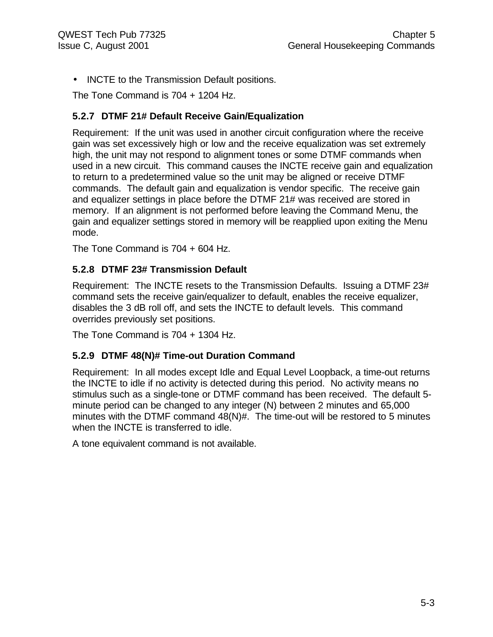• INCTE to the Transmission Default positions.

The Tone Command is 704 + 1204 Hz.

#### **5.2.7 DTMF 21# Default Receive Gain/Equalization**

Requirement: If the unit was used in another circuit configuration where the receive gain was set excessively high or low and the receive equalization was set extremely high, the unit may not respond to alignment tones or some DTMF commands when used in a new circuit. This command causes the INCTE receive gain and equalization to return to a predetermined value so the unit may be aligned or receive DTMF commands. The default gain and equalization is vendor specific. The receive gain and equalizer settings in place before the DTMF 21# was received are stored in memory. If an alignment is not performed before leaving the Command Menu, the gain and equalizer settings stored in memory will be reapplied upon exiting the Menu mode.

The Tone Command is 704 + 604 Hz.

### **5.2.8 DTMF 23# Transmission Default**

Requirement: The INCTE resets to the Transmission Defaults. Issuing a DTMF 23# command sets the receive gain/equalizer to default, enables the receive equalizer, disables the 3 dB roll off, and sets the INCTE to default levels. This command overrides previously set positions.

The Tone Command is 704 + 1304 Hz.

#### **5.2.9 DTMF 48(N)# Time-out Duration Command**

Requirement: In all modes except Idle and Equal Level Loopback, a time-out returns the INCTE to idle if no activity is detected during this period. No activity means no stimulus such as a single-tone or DTMF command has been received. The default 5 minute period can be changed to any integer (N) between 2 minutes and 65,000 minutes with the DTMF command 48(N)#. The time-out will be restored to 5 minutes when the INCTE is transferred to idle.

A tone equivalent command is not available.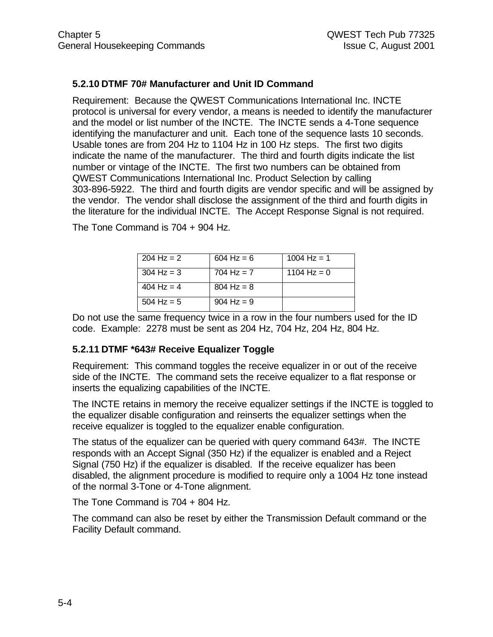# **5.2.10 DTMF 70# Manufacturer and Unit ID Command**

Requirement: Because the QWEST Communications International Inc. INCTE protocol is universal for every vendor, a means is needed to identify the manufacturer and the model or list number of the INCTE. The INCTE sends a 4-Tone sequence identifying the manufacturer and unit. Each tone of the sequence lasts 10 seconds. Usable tones are from 204 Hz to 1104 Hz in 100 Hz steps. The first two digits indicate the name of the manufacturer. The third and fourth digits indicate the list number or vintage of the INCTE. The first two numbers can be obtained from QWEST Communications International Inc. Product Selection by calling 303-896-5922. The third and fourth digits are vendor specific and will be assigned by the vendor. The vendor shall disclose the assignment of the third and fourth digits in the literature for the individual INCTE. The Accept Response Signal is not required.

| 204 Hz = $2$         | $604 \text{ Hz} = 6$ | 1004 Hz = 1   |
|----------------------|----------------------|---------------|
| $304 \text{ Hz} = 3$ | 704 Hz = $7$         | 1104 Hz = $0$ |
| 404 Hz = $4$         | $804 \text{ Hz} = 8$ |               |
| $504$ Hz = 5         | $904 \text{ Hz} = 9$ |               |

The Tone Command is 704 + 904 Hz.

Do not use the same frequency twice in a row in the four numbers used for the ID code. Example: 2278 must be sent as 204 Hz, 704 Hz, 204 Hz, 804 Hz.

# **5.2.11 DTMF \*643# Receive Equalizer Toggle**

Requirement: This command toggles the receive equalizer in or out of the receive side of the INCTE. The command sets the receive equalizer to a flat response or inserts the equalizing capabilities of the INCTE.

The INCTE retains in memory the receive equalizer settings if the INCTE is toggled to the equalizer disable configuration and reinserts the equalizer settings when the receive equalizer is toggled to the equalizer enable configuration.

The status of the equalizer can be queried with query command 643#. The INCTE responds with an Accept Signal (350 Hz) if the equalizer is enabled and a Reject Signal (750 Hz) if the equalizer is disabled. If the receive equalizer has been disabled, the alignment procedure is modified to require only a 1004 Hz tone instead of the normal 3-Tone or 4-Tone alignment.

The Tone Command is 704 + 804 Hz.

The command can also be reset by either the Transmission Default command or the Facility Default command.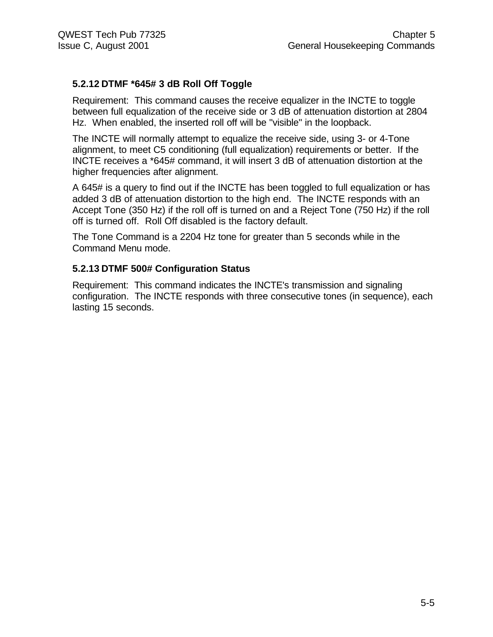# **5.2.12 DTMF \*645# 3 dB Roll Off Toggle**

Requirement: This command causes the receive equalizer in the INCTE to toggle between full equalization of the receive side or 3 dB of attenuation distortion at 2804 Hz. When enabled, the inserted roll off will be "visible" in the loopback.

The INCTE will normally attempt to equalize the receive side, using 3- or 4-Tone alignment, to meet C5 conditioning (full equalization) requirements or better. If the INCTE receives a \*645# command, it will insert 3 dB of attenuation distortion at the higher frequencies after alignment.

A 645# is a query to find out if the INCTE has been toggled to full equalization or has added 3 dB of attenuation distortion to the high end. The INCTE responds with an Accept Tone (350 Hz) if the roll off is turned on and a Reject Tone (750 Hz) if the roll off is turned off. Roll Off disabled is the factory default.

The Tone Command is a 2204 Hz tone for greater than 5 seconds while in the Command Menu mode.

#### **5.2.13 DTMF 500# Configuration Status**

Requirement: This command indicates the INCTE's transmission and signaling configuration. The INCTE responds with three consecutive tones (in sequence), each lasting 15 seconds.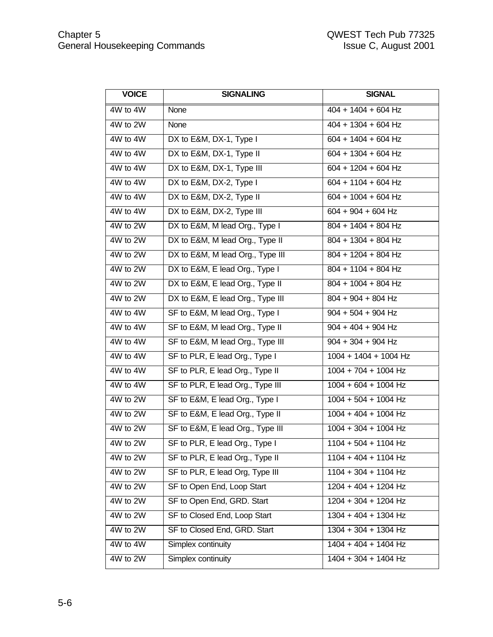| <b>VOICE</b> | <b>SIGNALING</b>                 | <b>SIGNAL</b>          |
|--------------|----------------------------------|------------------------|
| 4W to 4W     | None                             | $404 + 1404 + 604$ Hz  |
| 4W to 2W     | None                             | $404 + 1304 + 604$ Hz  |
| 4W to 4W     | DX to E&M, DX-1, Type I          | $604 + 1404 + 604$ Hz  |
| 4W to 4W     | DX to E&M, DX-1, Type II         | $604 + 1304 + 604$ Hz  |
| 4W to 4W     | DX to E&M, DX-1, Type III        | $604 + 1204 + 604$ Hz  |
| 4W to 4W     | DX to E&M, DX-2, Type I          | $604 + 1104 + 604$ Hz  |
| 4W to 4W     | DX to E&M, DX-2, Type II         | $604 + 1004 + 604$ Hz  |
| 4W to 4W     | DX to E&M, DX-2, Type III        | $604 + 904 + 604$ Hz   |
| 4W to 2W     | DX to E&M, M lead Org., Type I   | 804 + 1404 + 804 Hz    |
| 4W to 2W     | DX to E&M, M lead Org., Type II  | 804 + 1304 + 804 Hz    |
| 4W to 2W     | DX to E&M, M lead Org., Type III | 804 + 1204 + 804 Hz    |
| 4W to 2W     | DX to E&M, E lead Org., Type I   | 804 + 1104 + 804 Hz    |
| 4W to 2W     | DX to E&M, E lead Org., Type II  | $804 + 1004 + 804$ Hz  |
| 4W to 2W     | DX to E&M, E lead Org., Type III | $804 + 904 + 804$ Hz   |
| 4W to 4W     | SF to E&M, M lead Org., Type I   | $904 + 504 + 904$ Hz   |
| 4W to 4W     | SF to E&M, M lead Org., Type II  | $904 + 404 + 904$ Hz   |
| 4W to 4W     | SF to E&M, M lead Org., Type III | $904 + 304 + 904$ Hz   |
| 4W to 4W     | SF to PLR, E lead Org., Type I   | 1004 + 1404 + 1004 Hz  |
| 4W to 4W     | SF to PLR, E lead Org., Type II  | $1004 + 704 + 1004$ Hz |
| 4W to 4W     | SF to PLR, E lead Org., Type III | $1004 + 604 + 1004$ Hz |
| 4W to 2W     | SF to E&M, E lead Org., Type I   | $1004 + 504 + 1004$ Hz |
| 4W to 2W     | SF to E&M, E lead Org., Type II  | $1004 + 404 + 1004$ Hz |
| 4W to 2W     | SF to E&M, E lead Org., Type III | $1004 + 304 + 1004$ Hz |
| 4W to 2W     | SF to PLR, E lead Org., Type I   | $1104 + 504 + 1104$ Hz |
| 4W to 2W     | SF to PLR, E lead Org., Type II  | $1104 + 404 + 1104$ Hz |
| 4W to 2W     | SF to PLR, E lead Org, Type III  | $1104 + 304 + 1104$ Hz |
| 4W to 2W     | SF to Open End, Loop Start       | 1204 + 404 + 1204 Hz   |
| 4W to 2W     | SF to Open End, GRD. Start       | $1204 + 304 + 1204$ Hz |
| 4W to 2W     | SF to Closed End, Loop Start     | $1304 + 404 + 1304$ Hz |
| 4W to 2W     | SF to Closed End, GRD. Start     | $1304 + 304 + 1304$ Hz |
| 4W to 4W     | Simplex continuity               | $1404 + 404 + 1404$ Hz |
| 4W to 2W     | Simplex continuity               | $1404 + 304 + 1404$ Hz |
|              |                                  |                        |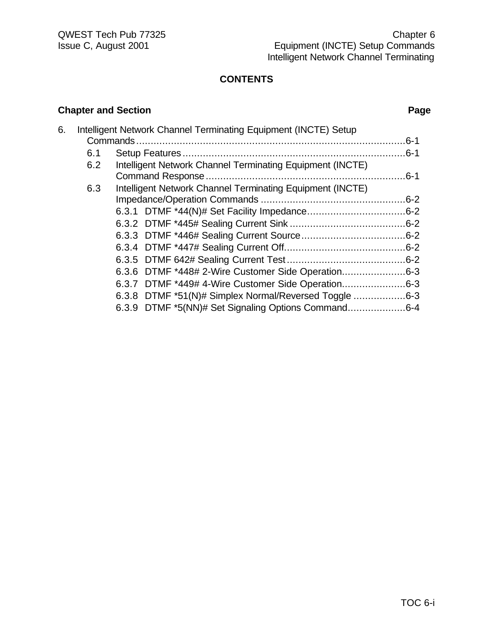# **Chapter and Section Page**

| 6. |     | Intelligent Network Channel Terminating Equipment (INCTE) Setup |  |
|----|-----|-----------------------------------------------------------------|--|
|    |     |                                                                 |  |
|    | 6.1 |                                                                 |  |
|    | 6.2 | Intelligent Network Channel Terminating Equipment (INCTE)       |  |
|    |     |                                                                 |  |
|    | 6.3 | Intelligent Network Channel Terminating Equipment (INCTE)       |  |
|    |     |                                                                 |  |
|    |     |                                                                 |  |
|    |     |                                                                 |  |
|    |     |                                                                 |  |
|    |     |                                                                 |  |
|    |     |                                                                 |  |
|    |     | 6.3.6 DTMF *448# 2-Wire Customer Side Operation6-3              |  |
|    |     | 6.3.7 DTMF *449# 4-Wire Customer Side Operation6-3              |  |
|    |     | 6.3.8 DTMF *51(N)# Simplex Normal/Reversed Toggle 6-3           |  |
|    |     | 6.3.9 DTMF *5(NN)# Set Signaling Options Command6-4             |  |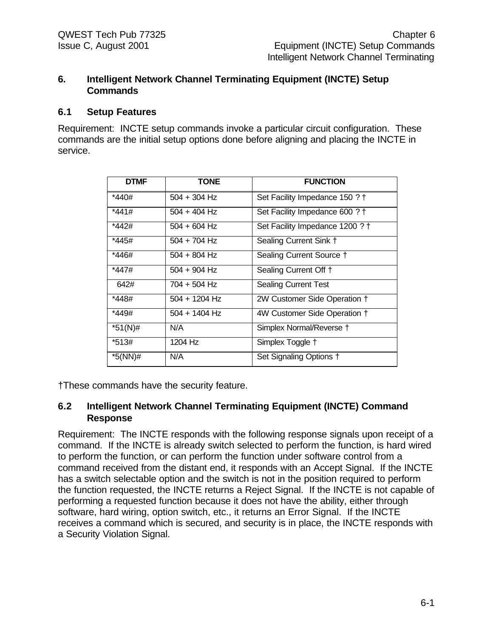#### **6. Intelligent Network Channel Terminating Equipment (INCTE) Setup Commands**

#### **6.1 Setup Features**

Requirement: INCTE setup commands invoke a particular circuit configuration. These commands are the initial setup options done before aligning and placing the INCTE in service.

| <b>DTMF</b> | <b>TONE</b>     | <b>FUNCTION</b>                 |
|-------------|-----------------|---------------------------------|
| *440#       | $504 + 304$ Hz  | Set Facility Impedance 150 ? †  |
| *441#       | $504 + 404$ Hz  | Set Facility Impedance 600 ? †  |
| *442#       | $504 + 604$ Hz  | Set Facility Impedance 1200 ? † |
| *445#       | $504 + 704$ Hz  | Sealing Current Sink +          |
| *446#       | $504 + 804$ Hz  | Sealing Current Source +        |
| *447#       | $504 + 904$ Hz  | Sealing Current Off †           |
| 642#        | 704 + 504 Hz    | <b>Sealing Current Test</b>     |
| *448#       | $504 + 1204$ Hz | 2W Customer Side Operation +    |
| *449#       | 504 + 1404 Hz   | 4W Customer Side Operation +    |
| $*51(N)$ #  | N/A             | Simplex Normal/Reverse †        |
| *513#       | 1204 Hz         | Simplex Toggle +                |
| *5(NN)#     | N/A             | Set Signaling Options +         |

†These commands have the security feature.

# **6.2 Intelligent Network Channel Terminating Equipment (INCTE) Command Response**

Requirement: The INCTE responds with the following response signals upon receipt of a command. If the INCTE is already switch selected to perform the function, is hard wired to perform the function, or can perform the function under software control from a command received from the distant end, it responds with an Accept Signal. If the INCTE has a switch selectable option and the switch is not in the position required to perform the function requested, the INCTE returns a Reject Signal. If the INCTE is not capable of performing a requested function because it does not have the ability, either through software, hard wiring, option switch, etc., it returns an Error Signal. If the INCTE receives a command which is secured, and security is in place, the INCTE responds with a Security Violation Signal.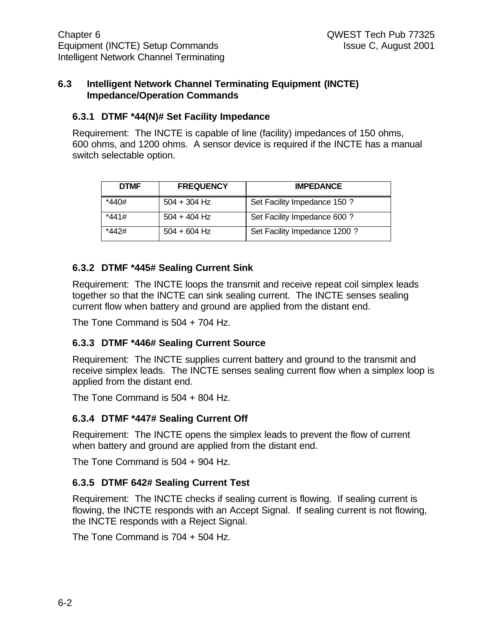#### **6.3 Intelligent Network Channel Terminating Equipment (INCTE) Impedance/Operation Commands**

#### **6.3.1 DTMF \*44(N)# Set Facility Impedance**

Requirement: The INCTE is capable of line (facility) impedances of 150 ohms, 600 ohms, and 1200 ohms. A sensor device is required if the INCTE has a manual switch selectable option.

| <b>DTMF</b> | <b>FREQUENCY</b> | <b>IMPEDANCE</b>              |
|-------------|------------------|-------------------------------|
| *440#       | $504 + 304$ Hz   | Set Facility Impedance 150 ?  |
| *441#       | $504 + 404$ Hz   | Set Facility Impedance 600 ?  |
| *442#       | $504 + 604$ Hz   | Set Facility Impedance 1200 ? |

# **6.3.2 DTMF \*445# Sealing Current Sink**

Requirement: The INCTE loops the transmit and receive repeat coil simplex leads together so that the INCTE can sink sealing current. The INCTE senses sealing current flow when battery and ground are applied from the distant end.

The Tone Command is 504 + 704 Hz.

# **6.3.3 DTMF \*446# Sealing Current Source**

Requirement: The INCTE supplies current battery and ground to the transmit and receive simplex leads. The INCTE senses sealing current flow when a simplex loop is applied from the distant end.

The Tone Command is 504 + 804 Hz.

# **6.3.4 DTMF \*447# Sealing Current Off**

Requirement: The INCTE opens the simplex leads to prevent the flow of current when battery and ground are applied from the distant end.

The Tone Command is 504 + 904 Hz.

# **6.3.5 DTMF 642# Sealing Current Test**

Requirement: The INCTE checks if sealing current is flowing. If sealing current is flowing, the INCTE responds with an Accept Signal. If sealing current is not flowing, the INCTE responds with a Reject Signal.

The Tone Command is 704 + 504 Hz.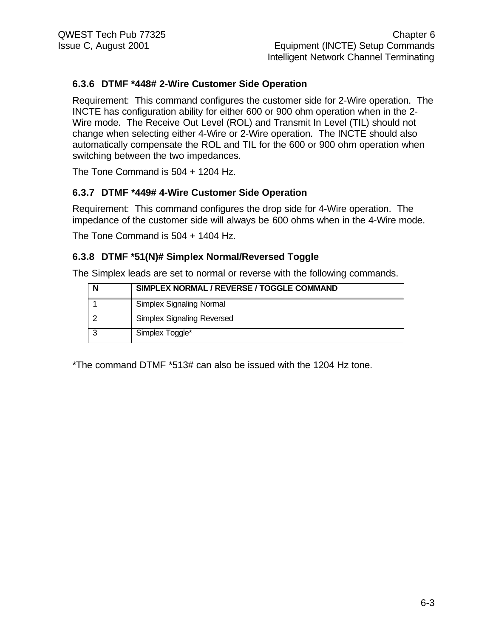# **6.3.6 DTMF \*448# 2-Wire Customer Side Operation**

Requirement: This command configures the customer side for 2-Wire operation. The INCTE has configuration ability for either 600 or 900 ohm operation when in the 2- Wire mode. The Receive Out Level (ROL) and Transmit In Level (TIL) should not change when selecting either 4-Wire or 2-Wire operation. The INCTE should also automatically compensate the ROL and TIL for the 600 or 900 ohm operation when switching between the two impedances.

The Tone Command is 504 + 1204 Hz.

### **6.3.7 DTMF \*449# 4-Wire Customer Side Operation**

Requirement: This command configures the drop side for 4-Wire operation. The impedance of the customer side will always be 600 ohms when in the 4-Wire mode.

The Tone Command is 504 + 1404 Hz.

### **6.3.8 DTMF \*51(N)# Simplex Normal/Reversed Toggle**

The Simplex leads are set to normal or reverse with the following commands.

| SIMPLEX NORMAL / REVERSE / TOGGLE COMMAND |
|-------------------------------------------|
| Simplex Signaling Normal                  |
| Simplex Signaling Reversed                |
| Simplex Toggle*                           |

\*The command DTMF \*513# can also be issued with the 1204 Hz tone.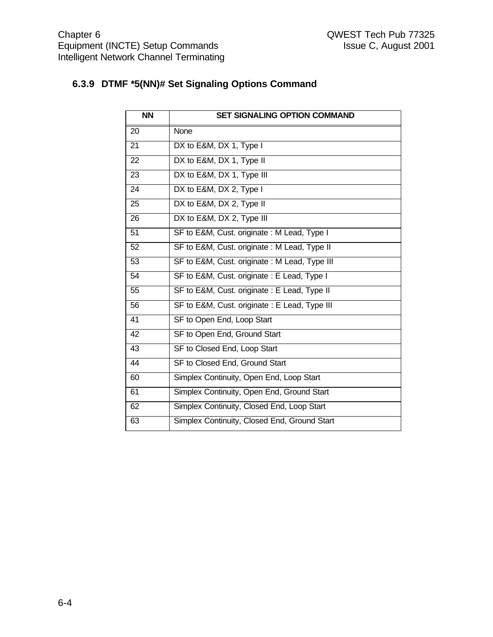# **6.3.9 DTMF \*5(NN)# Set Signaling Options Command**

| $\overline{NN}$ | <b>SET SIGNALING OPTION COMMAND</b>           |
|-----------------|-----------------------------------------------|
| 20              | <b>None</b>                                   |
| 21              | DX to E&M, DX 1, Type I                       |
| 22              | DX to E&M, DX 1, Type II                      |
| 23              | DX to E&M, DX 1, Type III                     |
| 24              | DX to E&M, DX 2, Type I                       |
| 25              | DX to E&M, DX 2, Type II                      |
| $\overline{26}$ | DX to E&M, DX 2, Type III                     |
| 51              | SF to E&M, Cust. originate: M Lead, Type I    |
| $\overline{52}$ | SF to E&M, Cust. originate: M Lead, Type II   |
| $\overline{53}$ | SF to E&M, Cust. originate: M Lead, Type III  |
| 54              | SF to E&M, Cust. originate : E Lead, Type I   |
| 55              | SF to E&M, Cust. originate : E Lead, Type II  |
| 56              | SF to E&M, Cust. originate : E Lead, Type III |
| 41              | SF to Open End, Loop Start                    |
| 42              | SF to Open End, Ground Start                  |
| 43              | SF to Closed End, Loop Start                  |
| 44              | SF to Closed End, Ground Start                |
| 60              | Simplex Continuity, Open End, Loop Start      |
| 61              | Simplex Continuity, Open End, Ground Start    |
| 62              | Simplex Continuity, Closed End, Loop Start    |
| 63              | Simplex Continuity, Closed End, Ground Start  |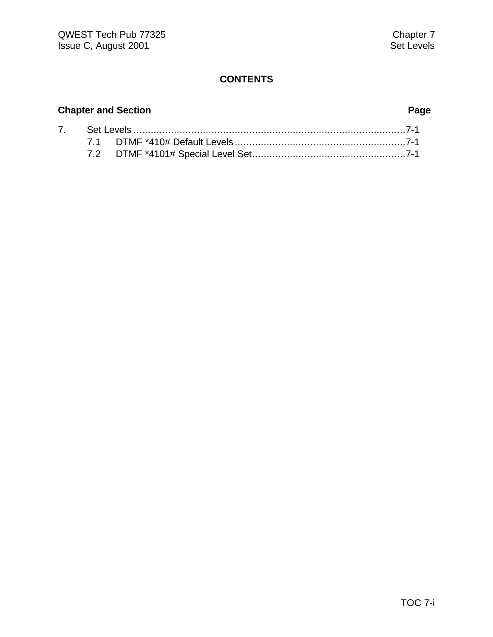# **Chapter and Section Page**

|  | 7.        Set Levels …………………………………………………………………………………7-1 |  |
|--|---------------------------------------------------------|--|
|  |                                                         |  |
|  |                                                         |  |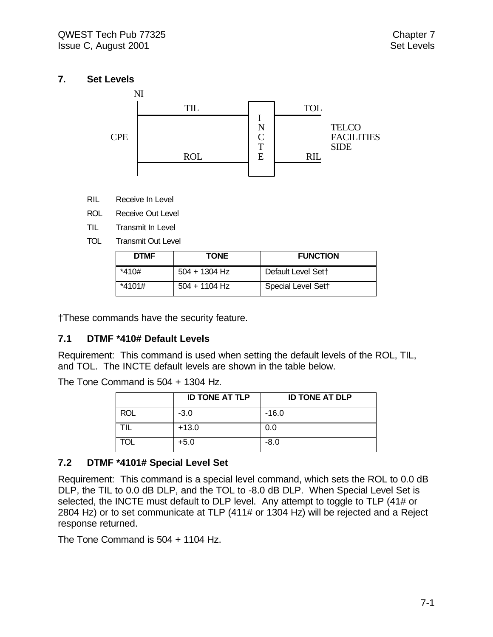# **7. Set Levels**



- RIL Receive In Level
- ROL Receive Out Level
- TIL Transmit In Level
- TOL Transmit Out Level

| <b>DTMF</b> | <b>TONE</b>     | <b>FUNCTION</b>    |
|-------------|-----------------|--------------------|
| *410#       | $504 + 1304$ Hz | Default Level Sett |
| $*4101#$    | $504 + 1104$ Hz | Special Level Sett |

†These commands have the security feature.

#### **7.1 DTMF \*410# Default Levels**

Requirement: This command is used when setting the default levels of the ROL, TIL, and TOL. The INCTE default levels are shown in the table below.

The Tone Command is 504 + 1304 Hz.

|            | <b>ID TONE AT TLP</b> | <b>ID TONE AT DLP</b> |
|------------|-----------------------|-----------------------|
| <b>ROL</b> | $-3.0$                | $-16.0$               |
|            | $+13.0$               | 0.0                   |
| TOL        | $+5.0$                | $-8.0$                |

# **7.2 DTMF \*4101# Special Level Set**

Requirement: This command is a special level command, which sets the ROL to 0.0 dB DLP, the TIL to 0.0 dB DLP, and the TOL to -8.0 dB DLP. When Special Level Set is selected, the INCTE must default to DLP level. Any attempt to toggle to TLP (41# or 2804 Hz) or to set communicate at TLP (411# or 1304 Hz) will be rejected and a Reject response returned.

The Tone Command is 504 + 1104 Hz.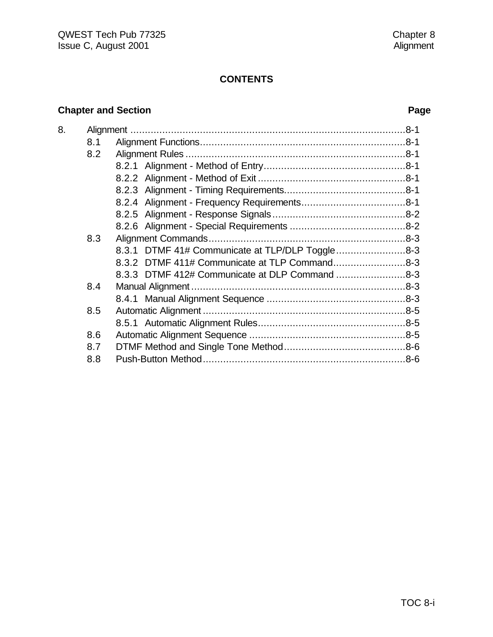# **Chapter and Section Page**

| 8. |     |                                                 |  |
|----|-----|-------------------------------------------------|--|
|    | 8.1 |                                                 |  |
|    | 8.2 |                                                 |  |
|    |     |                                                 |  |
|    |     |                                                 |  |
|    |     |                                                 |  |
|    |     |                                                 |  |
|    |     |                                                 |  |
|    |     |                                                 |  |
|    | 8.3 |                                                 |  |
|    |     | 8.3.1 DTMF 41# Communicate at TLP/DLP Toggle8-3 |  |
|    |     | 8.3.2 DTMF 411# Communicate at TLP Command8-3   |  |
|    |     | 8.3.3 DTMF 412# Communicate at DLP Command 8-3  |  |
|    | 8.4 |                                                 |  |
|    |     |                                                 |  |
|    | 8.5 |                                                 |  |
|    |     |                                                 |  |
|    | 8.6 |                                                 |  |
|    | 8.7 |                                                 |  |
|    | 8.8 |                                                 |  |
|    |     |                                                 |  |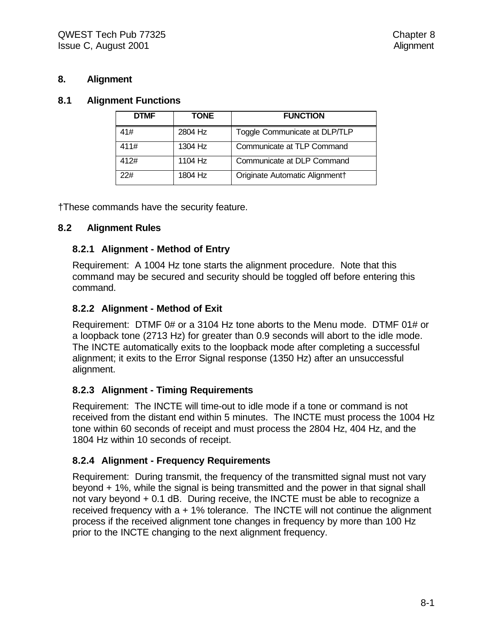#### **8. Alignment**

#### **8.1 Alignment Functions**

| <b>DTMF</b> | TONE    | <b>FUNCTION</b>                |
|-------------|---------|--------------------------------|
| 41#         | 2804 Hz | Toggle Communicate at DLP/TLP  |
| 411#        | 1304 Hz | Communicate at TLP Command     |
| 412#        | 1104 Hz | Communicate at DLP Command     |
| 22#         | 1804 Hz | Originate Automatic Alignment+ |

†These commands have the security feature.

### **8.2 Alignment Rules**

### **8.2.1 Alignment - Method of Entry**

Requirement: A 1004 Hz tone starts the alignment procedure. Note that this command may be secured and security should be toggled off before entering this command.

# **8.2.2 Alignment - Method of Exit**

Requirement: DTMF 0# or a 3104 Hz tone aborts to the Menu mode. DTMF 01# or a loopback tone (2713 Hz) for greater than 0.9 seconds will abort to the idle mode. The INCTE automatically exits to the loopback mode after completing a successful alignment; it exits to the Error Signal response (1350 Hz) after an unsuccessful alignment.

# **8.2.3 Alignment - Timing Requirements**

Requirement: The INCTE will time-out to idle mode if a tone or command is not received from the distant end within 5 minutes. The INCTE must process the 1004 Hz tone within 60 seconds of receipt and must process the 2804 Hz, 404 Hz, and the 1804 Hz within 10 seconds of receipt.

# **8.2.4 Alignment - Frequency Requirements**

Requirement: During transmit, the frequency of the transmitted signal must not vary beyond + 1%, while the signal is being transmitted and the power in that signal shall not vary beyond + 0.1 dB. During receive, the INCTE must be able to recognize a received frequency with  $a + 1\%$  tolerance. The INCTE will not continue the alignment process if the received alignment tone changes in frequency by more than 100 Hz prior to the INCTE changing to the next alignment frequency.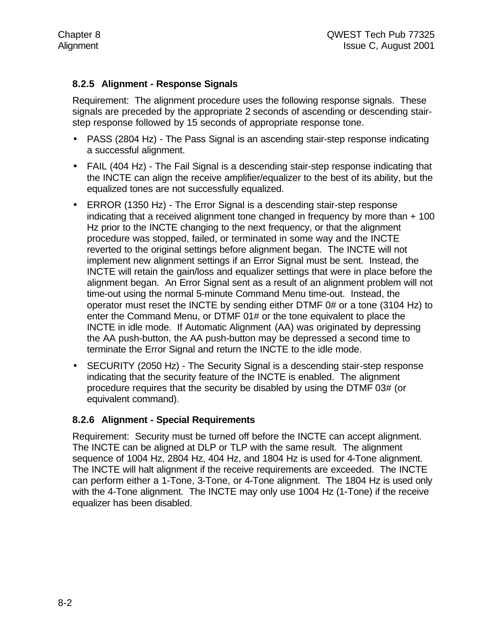# **8.2.5 Alignment - Response Signals**

Requirement: The alignment procedure uses the following response signals. These signals are preceded by the appropriate 2 seconds of ascending or descending stairstep response followed by 15 seconds of appropriate response tone.

- PASS (2804 Hz) The Pass Signal is an ascending stair-step response indicating a successful alignment.
- FAIL (404 Hz) The Fail Signal is a descending stair-step response indicating that the INCTE can align the receive amplifier/equalizer to the best of its ability, but the equalized tones are not successfully equalized.
- ERROR (1350 Hz) The Error Signal is a descending stair-step response indicating that a received alignment tone changed in frequency by more than + 100 Hz prior to the INCTE changing to the next frequency, or that the alignment procedure was stopped, failed, or terminated in some way and the INCTE reverted to the original settings before alignment began. The INCTE will not implement new alignment settings if an Error Signal must be sent. Instead, the INCTE will retain the gain/loss and equalizer settings that were in place before the alignment began. An Error Signal sent as a result of an alignment problem will not time-out using the normal 5-minute Command Menu time-out. Instead, the operator must reset the INCTE by sending either DTMF 0# or a tone (3104 Hz) to enter the Command Menu, or DTMF 01# or the tone equivalent to place the INCTE in idle mode. If Automatic Alignment (AA) was originated by depressing the AA push-button, the AA push-button may be depressed a second time to terminate the Error Signal and return the INCTE to the idle mode.
- SECURITY (2050 Hz) The Security Signal is a descending stair-step response indicating that the security feature of the INCTE is enabled. The alignment procedure requires that the security be disabled by using the DTMF 03# (or equivalent command).

#### **8.2.6 Alignment - Special Requirements**

Requirement: Security must be turned off before the INCTE can accept alignment. The INCTE can be aligned at DLP or TLP with the same result. The alignment sequence of 1004 Hz, 2804 Hz, 404 Hz, and 1804 Hz is used for 4-Tone alignment. The INCTE will halt alignment if the receive requirements are exceeded. The INCTE can perform either a 1-Tone, 3-Tone, or 4-Tone alignment. The 1804 Hz is used only with the 4-Tone alignment. The INCTE may only use 1004 Hz (1-Tone) if the receive equalizer has been disabled.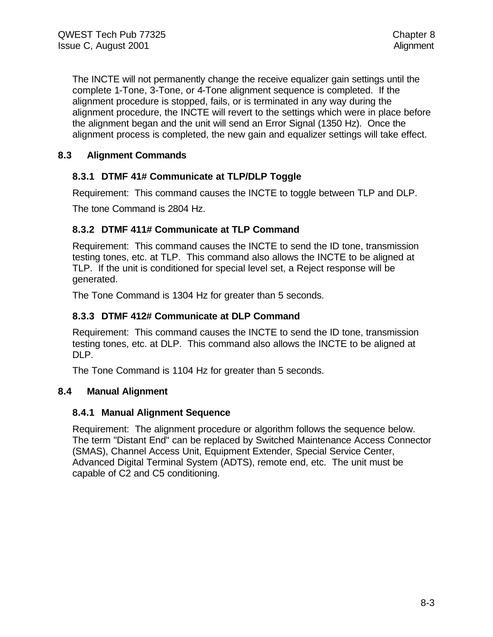The INCTE will not permanently change the receive equalizer gain settings until the complete 1-Tone, 3-Tone, or 4-Tone alignment sequence is completed. If the alignment procedure is stopped, fails, or is terminated in any way during the alignment procedure, the INCTE will revert to the settings which were in place before the alignment began and the unit will send an Error Signal (1350 Hz). Once the alignment process is completed, the new gain and equalizer settings will take effect.

# **8.3 Alignment Commands**

### **8.3.1 DTMF 41# Communicate at TLP/DLP Toggle**

Requirement: This command causes the INCTE to toggle between TLP and DLP.

The tone Command is 2804 Hz.

### **8.3.2 DTMF 411# Communicate at TLP Command**

Requirement: This command causes the INCTE to send the ID tone, transmission testing tones, etc. at TLP. This command also allows the INCTE to be aligned at TLP. If the unit is conditioned for special level set, a Reject response will be generated.

The Tone Command is 1304 Hz for greater than 5 seconds.

#### **8.3.3 DTMF 412# Communicate at DLP Command**

Requirement: This command causes the INCTE to send the ID tone, transmission testing tones, etc. at DLP. This command also allows the INCTE to be aligned at DLP.

The Tone Command is 1104 Hz for greater than 5 seconds.

#### **8.4 Manual Alignment**

#### **8.4.1 Manual Alignment Sequence**

Requirement: The alignment procedure or algorithm follows the sequence below. The term "Distant End" can be replaced by Switched Maintenance Access Connector (SMAS), Channel Access Unit, Equipment Extender, Special Service Center, Advanced Digital Terminal System (ADTS), remote end, etc. The unit must be capable of C2 and C5 conditioning.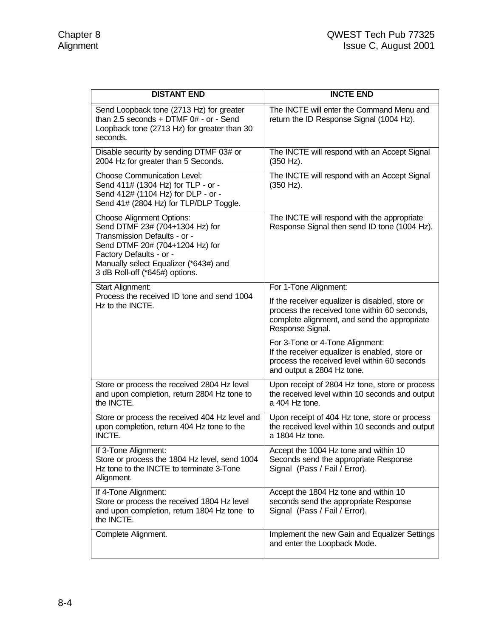| <b>DISTANT END</b>                                                                                                                                                                                                                           | <b>INCTE END</b>                                                                                                                                                    |
|----------------------------------------------------------------------------------------------------------------------------------------------------------------------------------------------------------------------------------------------|---------------------------------------------------------------------------------------------------------------------------------------------------------------------|
| Send Loopback tone (2713 Hz) for greater<br>than 2.5 seconds $+$ DTMF 0# - or - Send<br>Loopback tone (2713 Hz) for greater than 30<br>seconds.                                                                                              | The INCTE will enter the Command Menu and<br>return the ID Response Signal (1004 Hz).                                                                               |
| Disable security by sending DTMF 03# or<br>2004 Hz for greater than 5 Seconds.                                                                                                                                                               | The INCTE will respond with an Accept Signal<br>(350 Hz).                                                                                                           |
| <b>Choose Communication Level:</b><br>Send 411# (1304 Hz) for TLP - or -<br>Send 412# (1104 Hz) for DLP - or -<br>Send 41# (2804 Hz) for TLP/DLP Toggle.                                                                                     | The INCTE will respond with an Accept Signal<br>(350 Hz).                                                                                                           |
| <b>Choose Alignment Options:</b><br>Send DTMF 23# (704+1304 Hz) for<br>Transmission Defaults - or -<br>Send DTMF 20# (704+1204 Hz) for<br>Factory Defaults - or -<br>Manually select Equalizer (*643#) and<br>3 dB Roll-off (*645#) options. | The INCTE will respond with the appropriate<br>Response Signal then send ID tone (1004 Hz).                                                                         |
| Start Alignment:                                                                                                                                                                                                                             | For 1-Tone Alignment:                                                                                                                                               |
| Process the received ID tone and send 1004<br>Hz to the INCTE.                                                                                                                                                                               | If the receiver equalizer is disabled, store or<br>process the received tone within 60 seconds,<br>complete alignment, and send the appropriate<br>Response Signal. |
|                                                                                                                                                                                                                                              | For 3-Tone or 4-Tone Alignment:<br>If the receiver equalizer is enabled, store or<br>process the received level within 60 seconds<br>and output a 2804 Hz tone.     |
| Store or process the received 2804 Hz level<br>and upon completion, return 2804 Hz tone to<br>the INCTE.                                                                                                                                     | Upon receipt of 2804 Hz tone, store or process<br>the received level within 10 seconds and output<br>a 404 Hz tone.                                                 |
| Store or process the received 404 Hz level and<br>upon completion, return 404 Hz tone to the<br>INCTE.                                                                                                                                       | Upon receipt of 404 Hz tone, store or process<br>the received level within 10 seconds and output<br>a 1804 Hz tone.                                                 |
| If 3-Tone Alignment:<br>Store or process the 1804 Hz level, send 1004<br>Hz tone to the INCTE to terminate 3-Tone<br>Alignment.                                                                                                              | Accept the 1004 Hz tone and within 10<br>Seconds send the appropriate Response<br>Signal (Pass / Fail / Error).                                                     |
| If 4-Tone Alignment:<br>Store or process the received 1804 Hz level<br>and upon completion, return 1804 Hz tone to<br>the INCTE.                                                                                                             | Accept the 1804 Hz tone and within 10<br>seconds send the appropriate Response<br>Signal (Pass / Fail / Error).                                                     |
| Complete Alignment.                                                                                                                                                                                                                          | Implement the new Gain and Equalizer Settings<br>and enter the Loopback Mode.                                                                                       |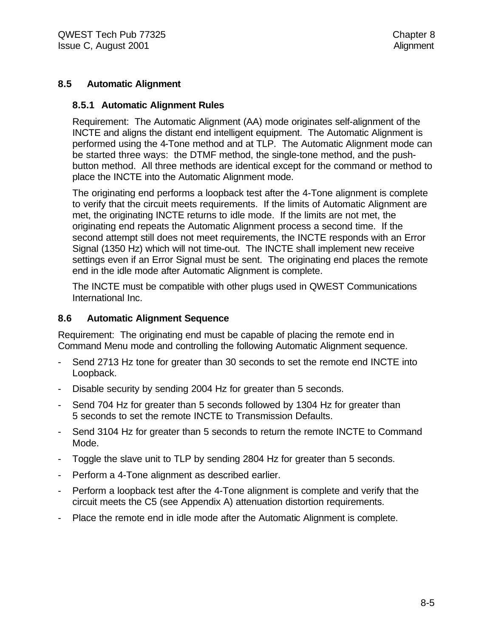#### **8.5 Automatic Alignment**

#### **8.5.1 Automatic Alignment Rules**

Requirement: The Automatic Alignment (AA) mode originates self-alignment of the INCTE and aligns the distant end intelligent equipment. The Automatic Alignment is performed using the 4-Tone method and at TLP. The Automatic Alignment mode can be started three ways: the DTMF method, the single-tone method, and the pushbutton method. All three methods are identical except for the command or method to place the INCTE into the Automatic Alignment mode.

The originating end performs a loopback test after the 4-Tone alignment is complete to verify that the circuit meets requirements. If the limits of Automatic Alignment are met, the originating INCTE returns to idle mode. If the limits are not met, the originating end repeats the Automatic Alignment process a second time. If the second attempt still does not meet requirements, the INCTE responds with an Error Signal (1350 Hz) which will not time-out. The INCTE shall implement new receive settings even if an Error Signal must be sent. The originating end places the remote end in the idle mode after Automatic Alignment is complete.

The INCTE must be compatible with other plugs used in QWEST Communications International Inc.

#### **8.6 Automatic Alignment Sequence**

Requirement: The originating end must be capable of placing the remote end in Command Menu mode and controlling the following Automatic Alignment sequence.

- Send 2713 Hz tone for greater than 30 seconds to set the remote end INCTE into Loopback.
- Disable security by sending 2004 Hz for greater than 5 seconds.
- Send 704 Hz for greater than 5 seconds followed by 1304 Hz for greater than 5 seconds to set the remote INCTE to Transmission Defaults.
- Send 3104 Hz for greater than 5 seconds to return the remote INCTE to Command Mode.
- Toggle the slave unit to TLP by sending 2804 Hz for greater than 5 seconds.
- Perform a 4-Tone alignment as described earlier.
- Perform a loopback test after the 4-Tone alignment is complete and verify that the circuit meets the C5 (see Appendix A) attenuation distortion requirements.
- Place the remote end in idle mode after the Automatic Alignment is complete.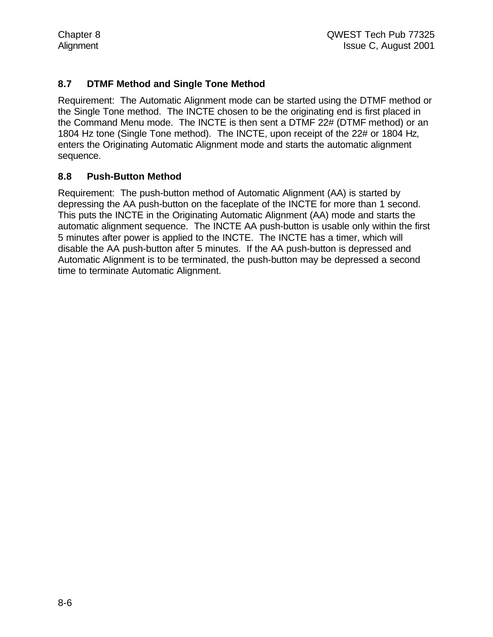# **8.7 DTMF Method and Single Tone Method**

Requirement: The Automatic Alignment mode can be started using the DTMF method or the Single Tone method. The INCTE chosen to be the originating end is first placed in the Command Menu mode. The INCTE is then sent a DTMF 22# (DTMF method) or an 1804 Hz tone (Single Tone method). The INCTE, upon receipt of the 22# or 1804 Hz, enters the Originating Automatic Alignment mode and starts the automatic alignment sequence.

### **8.8 Push-Button Method**

Requirement: The push-button method of Automatic Alignment (AA) is started by depressing the AA push-button on the faceplate of the INCTE for more than 1 second. This puts the INCTE in the Originating Automatic Alignment (AA) mode and starts the automatic alignment sequence. The INCTE AA push-button is usable only within the first 5 minutes after power is applied to the INCTE. The INCTE has a timer, which will disable the AA push-button after 5 minutes. If the AA push-button is depressed and Automatic Alignment is to be terminated, the push-button may be depressed a second time to terminate Automatic Alignment.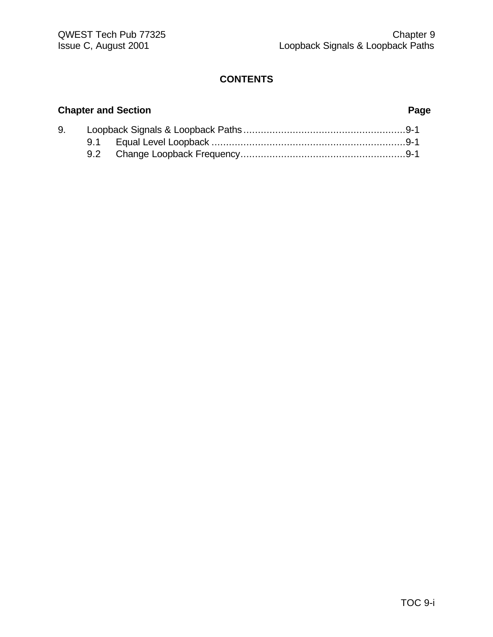# **Chapter and Section Page**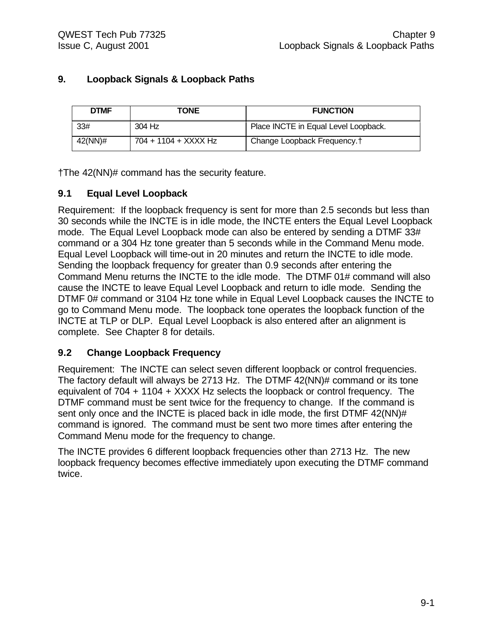# **9. Loopback Signals & Loopback Paths**

| <b>DTMF</b> | TONE                 | <b>FUNCTION</b>                         |
|-------------|----------------------|-----------------------------------------|
| 33#         | 304 Hz               | Place INCTE in Equal Level Loopback.    |
| 42(NN)#     | 704 + 1104 + XXXX Hz | Change Loopback Frequency. <sup>†</sup> |

†The 42(NN)# command has the security feature.

# **9.1 Equal Level Loopback**

Requirement: If the loopback frequency is sent for more than 2.5 seconds but less than 30 seconds while the INCTE is in idle mode, the INCTE enters the Equal Level Loopback mode. The Equal Level Loopback mode can also be entered by sending a DTMF 33# command or a 304 Hz tone greater than 5 seconds while in the Command Menu mode. Equal Level Loopback will time-out in 20 minutes and return the INCTE to idle mode. Sending the loopback frequency for greater than 0.9 seconds after entering the Command Menu returns the INCTE to the idle mode. The DTMF 01# command will also cause the INCTE to leave Equal Level Loopback and return to idle mode. Sending the DTMF 0# command or 3104 Hz tone while in Equal Level Loopback causes the INCTE to go to Command Menu mode. The loopback tone operates the loopback function of the INCTE at TLP or DLP. Equal Level Loopback is also entered after an alignment is complete. See Chapter 8 for details.

#### **9.2 Change Loopback Frequency**

Requirement: The INCTE can select seven different loopback or control frequencies. The factory default will always be 2713 Hz. The DTMF 42(NN)# command or its tone equivalent of 704 + 1104 + XXXX Hz selects the loopback or control frequency. The DTMF command must be sent twice for the frequency to change. If the command is sent only once and the INCTE is placed back in idle mode, the first DTMF 42(NN)# command is ignored. The command must be sent two more times after entering the Command Menu mode for the frequency to change.

The INCTE provides 6 different loopback frequencies other than 2713 Hz. The new loopback frequency becomes effective immediately upon executing the DTMF command twice.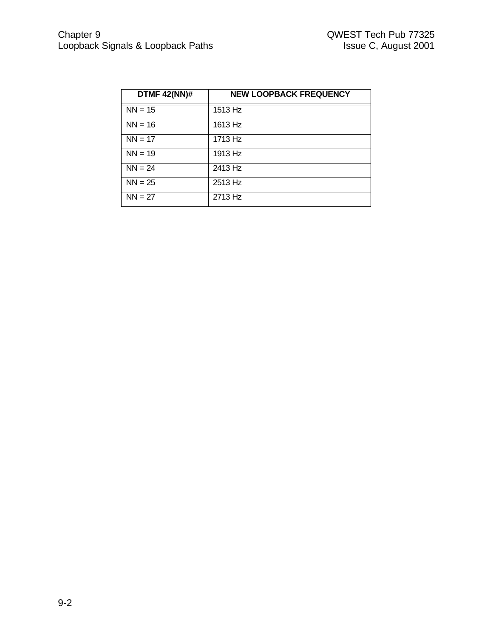| <b>DTMF 42(NN)#</b> | <b>NEW LOOPBACK FREQUENCY</b> |
|---------------------|-------------------------------|
| $NN = 15$           | 1513 Hz                       |
| $NN = 16$           | 1613 Hz                       |
| $NN = 17$           | 1713 Hz                       |
| $NN = 19$           | 1913 Hz                       |
| $NN = 24$           | $\overline{24}$ 13 Hz         |
| $NN = 25$           | 2513 Hz                       |
| $NN = 27$           | 2713 Hz                       |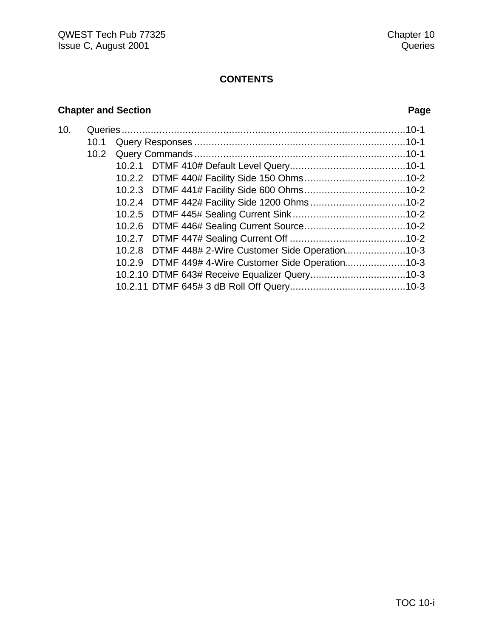# **Chapter and Section Page**

| 10. |      |  |                                                     |  |
|-----|------|--|-----------------------------------------------------|--|
|     | 10.1 |  |                                                     |  |
|     |      |  |                                                     |  |
|     |      |  |                                                     |  |
|     |      |  |                                                     |  |
|     |      |  |                                                     |  |
|     |      |  |                                                     |  |
|     |      |  |                                                     |  |
|     |      |  |                                                     |  |
|     |      |  |                                                     |  |
|     |      |  | 10.2.8 DTMF 448# 2-Wire Customer Side Operation     |  |
|     |      |  | 10.2.9 DTMF 449# 4-Wire Customer Side Operation10-3 |  |
|     |      |  |                                                     |  |
|     |      |  |                                                     |  |
|     |      |  |                                                     |  |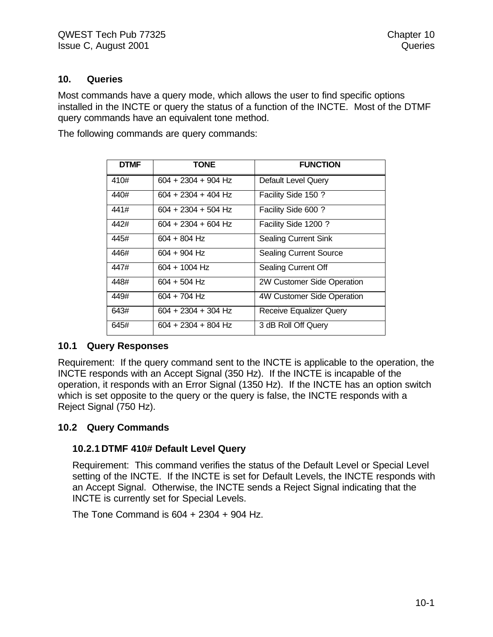#### **10. Queries**

Most commands have a query mode, which allows the user to find specific options installed in the INCTE or query the status of a function of the INCTE. Most of the DTMF query commands have an equivalent tone method.

The following commands are query commands:

| <b>DTMF</b> | <b>TONE</b>           | <b>FUNCTION</b>                |
|-------------|-----------------------|--------------------------------|
| 410#        | $604 + 2304 + 904$ Hz | <b>Default Level Query</b>     |
| 440#        | 604 + 2304 + 404 Hz   | Facility Side 150 ?            |
| 441#        | 604 + 2304 + 504 Hz   | Facility Side 600 ?            |
| 442#        | $604 + 2304 + 604$ Hz | Facility Side 1200?            |
| 445#        | $604 + 804$ Hz        | <b>Sealing Current Sink</b>    |
| 446#        | $604 + 904$ Hz        | <b>Sealing Current Source</b>  |
| 447#        | $604 + 1004$ Hz       | Sealing Current Off            |
| 448#        | 604 + 504 Hz          | 2W Customer Side Operation     |
| 449#        | 604 + 704 Hz          | 4W Customer Side Operation     |
| 643#        | 604 + 2304 + 304 Hz   | <b>Receive Equalizer Query</b> |
| 645#        | $604 + 2304 + 804$ Hz | 3 dB Roll Off Query            |

#### **10.1 Query Responses**

Requirement: If the query command sent to the INCTE is applicable to the operation, the INCTE responds with an Accept Signal (350 Hz). If the INCTE is incapable of the operation, it responds with an Error Signal (1350 Hz). If the INCTE has an option switch which is set opposite to the query or the query is false, the INCTE responds with a Reject Signal (750 Hz).

#### **10.2 Query Commands**

#### **10.2.1 DTMF 410# Default Level Query**

Requirement: This command verifies the status of the Default Level or Special Level setting of the INCTE. If the INCTE is set for Default Levels, the INCTE responds with an Accept Signal. Otherwise, the INCTE sends a Reject Signal indicating that the INCTE is currently set for Special Levels.

The Tone Command is 604 + 2304 + 904 Hz.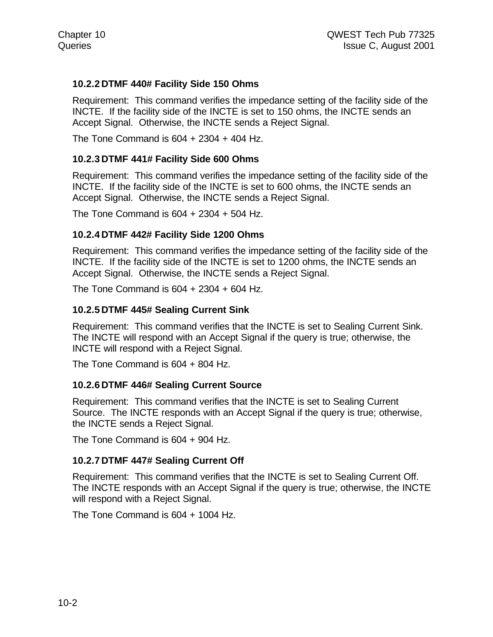### **10.2.2 DTMF 440# Facility Side 150 Ohms**

Requirement: This command verifies the impedance setting of the facility side of the INCTE. If the facility side of the INCTE is set to 150 ohms, the INCTE sends an Accept Signal. Otherwise, the INCTE sends a Reject Signal.

The Tone Command is  $604 + 2304 + 404$  Hz.

#### **10.2.3 DTMF 441# Facility Side 600 Ohms**

Requirement: This command verifies the impedance setting of the facility side of the INCTE. If the facility side of the INCTE is set to 600 ohms, the INCTE sends an Accept Signal. Otherwise, the INCTE sends a Reject Signal.

The Tone Command is 604 + 2304 + 504 Hz.

#### **10.2.4 DTMF 442# Facility Side 1200 Ohms**

Requirement: This command verifies the impedance setting of the facility side of the INCTE. If the facility side of the INCTE is set to 1200 ohms, the INCTE sends an Accept Signal. Otherwise, the INCTE sends a Reject Signal.

The Tone Command is  $604 + 2304 + 604$  Hz.

#### **10.2.5 DTMF 445# Sealing Current Sink**

Requirement: This command verifies that the INCTE is set to Sealing Current Sink. The INCTE will respond with an Accept Signal if the query is true; otherwise, the INCTE will respond with a Reject Signal.

The Tone Command is 604 + 804 Hz.

#### **10.2.6 DTMF 446# Sealing Current Source**

Requirement: This command verifies that the INCTE is set to Sealing Current Source. The INCTE responds with an Accept Signal if the query is true; otherwise, the INCTE sends a Reject Signal.

The Tone Command is 604 + 904 Hz.

#### **10.2.7 DTMF 447# Sealing Current Off**

Requirement: This command verifies that the INCTE is set to Sealing Current Off. The INCTE responds with an Accept Signal if the query is true; otherwise, the INCTE will respond with a Reject Signal.

The Tone Command is 604 + 1004 Hz.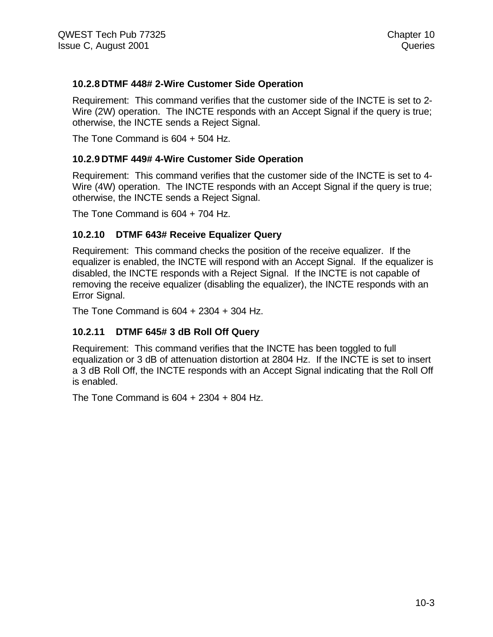### **10.2.8 DTMF 448# 2-Wire Customer Side Operation**

Requirement: This command verifies that the customer side of the INCTE is set to 2- Wire (2W) operation. The INCTE responds with an Accept Signal if the query is true; otherwise, the INCTE sends a Reject Signal.

The Tone Command is 604 + 504 Hz.

#### **10.2.9 DTMF 449# 4-Wire Customer Side Operation**

Requirement: This command verifies that the customer side of the INCTE is set to 4- Wire (4W) operation. The INCTE responds with an Accept Signal if the query is true; otherwise, the INCTE sends a Reject Signal.

The Tone Command is 604 + 704 Hz.

### **10.2.10 DTMF 643# Receive Equalizer Query**

Requirement: This command checks the position of the receive equalizer. If the equalizer is enabled, the INCTE will respond with an Accept Signal. If the equalizer is disabled, the INCTE responds with a Reject Signal. If the INCTE is not capable of removing the receive equalizer (disabling the equalizer), the INCTE responds with an Error Signal.

The Tone Command is 604 + 2304 + 304 Hz.

#### **10.2.11 DTMF 645# 3 dB Roll Off Query**

Requirement: This command verifies that the INCTE has been toggled to full equalization or 3 dB of attenuation distortion at 2804 Hz. If the INCTE is set to insert a 3 dB Roll Off, the INCTE responds with an Accept Signal indicating that the Roll Off is enabled.

The Tone Command is 604 + 2304 + 804 Hz.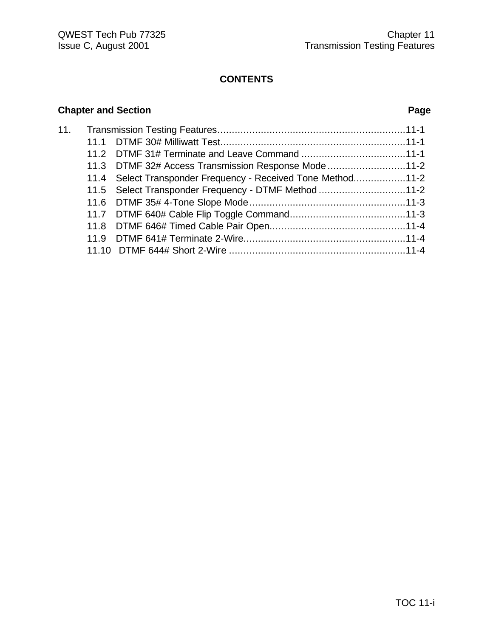# **Chapter and Section Page**

| 11. |                                                              |  |
|-----|--------------------------------------------------------------|--|
|     |                                                              |  |
|     |                                                              |  |
|     | 11.3 DTMF 32# Access Transmission Response Mode11-2          |  |
|     | 11.4 Select Transponder Frequency - Received Tone Method11-2 |  |
|     | 11.5 Select Transponder Frequency - DTMF Method 11-2         |  |
|     |                                                              |  |
|     |                                                              |  |
|     |                                                              |  |
|     |                                                              |  |
|     |                                                              |  |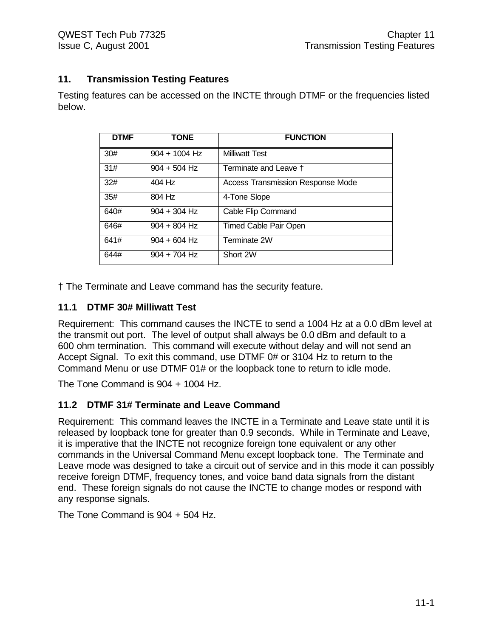# **11. Transmission Testing Features**

Testing features can be accessed on the INCTE through DTMF or the frequencies listed below.

| <b>DTMF</b> | <b>TONE</b>     | <b>FUNCTION</b>                          |
|-------------|-----------------|------------------------------------------|
| 30#         | $904 + 1004$ Hz | <b>Milliwatt Test</b>                    |
| 31#         | $904 + 504$ Hz  | Terminate and Leave †                    |
| 32#         | 404 Hz          | <b>Access Transmission Response Mode</b> |
| 35#         | 804 Hz          | 4-Tone Slope                             |
| 640#        | $904 + 304$ Hz  | Cable Flip Command                       |
| 646#        | $904 + 804$ Hz  | <b>Timed Cable Pair Open</b>             |
| 641#        | $904 + 604$ Hz  | Terminate 2W                             |
| 644#        | $904 + 704$ Hz  | Short 2W                                 |

† The Terminate and Leave command has the security feature.

# **11.1 DTMF 30# Milliwatt Test**

Requirement: This command causes the INCTE to send a 1004 Hz at a 0.0 dBm level at the transmit out port. The level of output shall always be 0.0 dBm and default to a 600 ohm termination. This command will execute without delay and will not send an Accept Signal. To exit this command, use DTMF 0# or 3104 Hz to return to the Command Menu or use DTMF 01# or the loopback tone to return to idle mode.

The Tone Command is 904 + 1004 Hz.

# **11.2 DTMF 31# Terminate and Leave Command**

Requirement: This command leaves the INCTE in a Terminate and Leave state until it is released by loopback tone for greater than 0.9 seconds. While in Terminate and Leave, it is imperative that the INCTE not recognize foreign tone equivalent or any other commands in the Universal Command Menu except loopback tone. The Terminate and Leave mode was designed to take a circuit out of service and in this mode it can possibly receive foreign DTMF, frequency tones, and voice band data signals from the distant end. These foreign signals do not cause the INCTE to change modes or respond with any response signals.

The Tone Command is 904 + 504 Hz.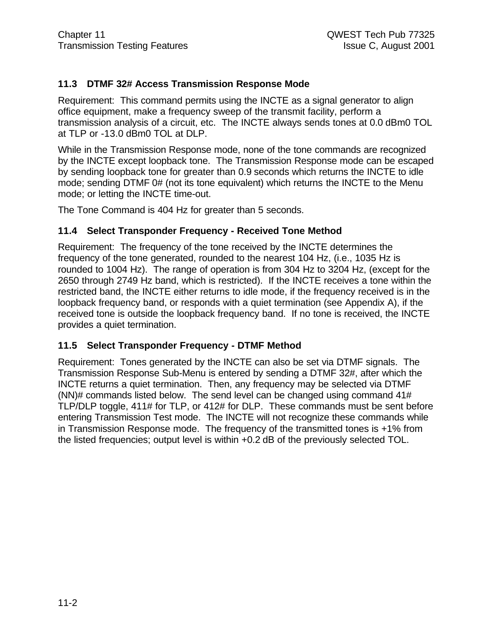#### **11.3 DTMF 32# Access Transmission Response Mode**

Requirement: This command permits using the INCTE as a signal generator to align office equipment, make a frequency sweep of the transmit facility, perform a transmission analysis of a circuit, etc. The INCTE always sends tones at 0.0 dBm0 TOL at TLP or -13.0 dBm0 TOL at DLP.

While in the Transmission Response mode, none of the tone commands are recognized by the INCTE except loopback tone. The Transmission Response mode can be escaped by sending loopback tone for greater than 0.9 seconds which returns the INCTE to idle mode; sending DTMF 0# (not its tone equivalent) which returns the INCTE to the Menu mode; or letting the INCTE time-out.

The Tone Command is 404 Hz for greater than 5 seconds.

#### **11.4 Select Transponder Frequency - Received Tone Method**

Requirement: The frequency of the tone received by the INCTE determines the frequency of the tone generated, rounded to the nearest 104 Hz, (i.e., 1035 Hz is rounded to 1004 Hz). The range of operation is from 304 Hz to 3204 Hz, (except for the 2650 through 2749 Hz band, which is restricted). If the INCTE receives a tone within the restricted band, the INCTE either returns to idle mode, if the frequency received is in the loopback frequency band, or responds with a quiet termination (see Appendix A), if the received tone is outside the loopback frequency band. If no tone is received, the INCTE provides a quiet termination.

#### **11.5 Select Transponder Frequency - DTMF Method**

Requirement: Tones generated by the INCTE can also be set via DTMF signals. The Transmission Response Sub-Menu is entered by sending a DTMF 32#, after which the INCTE returns a quiet termination. Then, any frequency may be selected via DTMF (NN)# commands listed below. The send level can be changed using command 41# TLP/DLP toggle, 411# for TLP, or 412# for DLP. These commands must be sent before entering Transmission Test mode. The INCTE will not recognize these commands while in Transmission Response mode. The frequency of the transmitted tones is +1% from the listed frequencies; output level is within +0.2 dB of the previously selected TOL.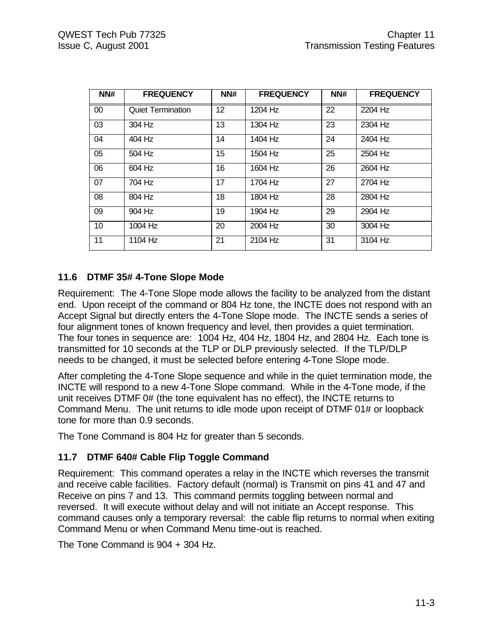| NN#             | <b>FREQUENCY</b>         | NN# | <b>FREQUENCY</b> | NN# | <b>FREQUENCY</b> |
|-----------------|--------------------------|-----|------------------|-----|------------------|
| 00 <sup>°</sup> | <b>Quiet Termination</b> | 12  | 1204 Hz          | 22  | 2204 Hz          |
| 03              | 304 Hz                   | 13  | 1304 Hz          | 23  | 2304 Hz          |
| 04              | 404 Hz                   | 14  | 1404 Hz          | 24  | 2404 Hz          |
| 05              | 504 Hz                   | 15  | 1504 Hz          | 25  | 2504 Hz          |
| 06              | 604 Hz                   | 16  | 1604 Hz          | 26  | 2604 Hz          |
| 07              | 704 Hz                   | 17  | 1704 Hz          | 27  | 2704 Hz          |
| 08              | 804 Hz                   | 18  | 1804 Hz          | 28  | 2804 Hz          |
| 09              | 904 Hz                   | 19  | 1904 Hz          | 29  | 2904 Hz          |
| 10              | 1004 Hz                  | 20  | 2004 Hz          | 30  | 3004 Hz          |
| 11              | 1104 Hz                  | 21  | 2104 Hz          | 31  | 3104 Hz          |

# **11.6 DTMF 35# 4-Tone Slope Mode**

Requirement: The 4-Tone Slope mode allows the facility to be analyzed from the distant end. Upon receipt of the command or 804 Hz tone, the INCTE does not respond with an Accept Signal but directly enters the 4-Tone Slope mode. The INCTE sends a series of four alignment tones of known frequency and level, then provides a quiet termination. The four tones in sequence are: 1004 Hz, 404 Hz, 1804 Hz, and 2804 Hz. Each tone is transmitted for 10 seconds at the TLP or DLP previously selected. If the TLP/DLP needs to be changed, it must be selected before entering 4-Tone Slope mode.

After completing the 4-Tone Slope sequence and while in the quiet termination mode, the INCTE will respond to a new 4-Tone Slope command. While in the 4-Tone mode, if the unit receives DTMF 0# (the tone equivalent has no effect), the INCTE returns to Command Menu. The unit returns to idle mode upon receipt of DTMF 01# or loopback tone for more than 0.9 seconds.

The Tone Command is 804 Hz for greater than 5 seconds.

# **11.7 DTMF 640# Cable Flip Toggle Command**

Requirement: This command operates a relay in the INCTE which reverses the transmit and receive cable facilities. Factory default (normal) is Transmit on pins 41 and 47 and Receive on pins 7 and 13. This command permits toggling between normal and reversed. It will execute without delay and will not initiate an Accept response. This command causes only a temporary reversal: the cable flip returns to normal when exiting Command Menu or when Command Menu time-out is reached.

The Tone Command is 904 + 304 Hz.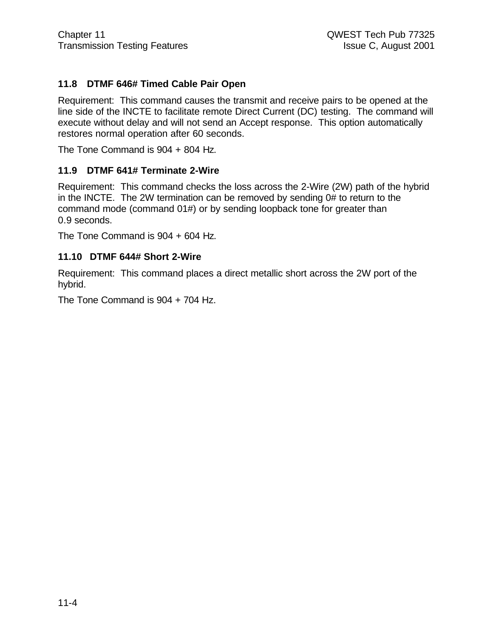# **11.8 DTMF 646# Timed Cable Pair Open**

Requirement: This command causes the transmit and receive pairs to be opened at the line side of the INCTE to facilitate remote Direct Current (DC) testing. The command will execute without delay and will not send an Accept response. This option automatically restores normal operation after 60 seconds.

The Tone Command is 904 + 804 Hz.

#### **11.9 DTMF 641# Terminate 2-Wire**

Requirement: This command checks the loss across the 2-Wire (2W) path of the hybrid in the INCTE. The 2W termination can be removed by sending 0# to return to the command mode (command 01#) or by sending loopback tone for greater than 0.9 seconds.

The Tone Command is 904 + 604 Hz.

#### **11.10 DTMF 644# Short 2-Wire**

Requirement: This command places a direct metallic short across the 2W port of the hybrid.

The Tone Command is 904 + 704 Hz.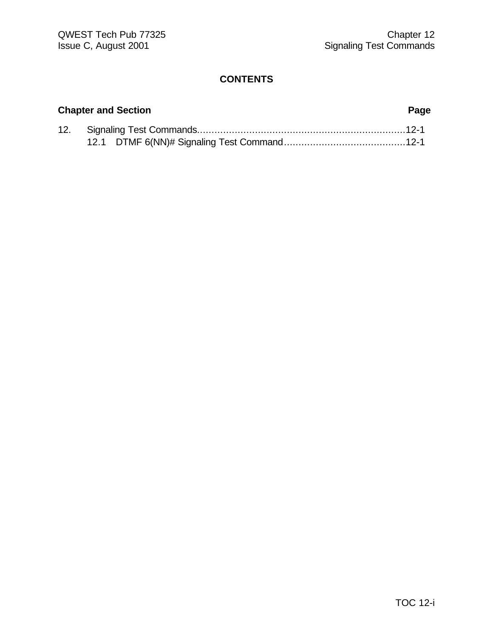# **Chapter and Section Page**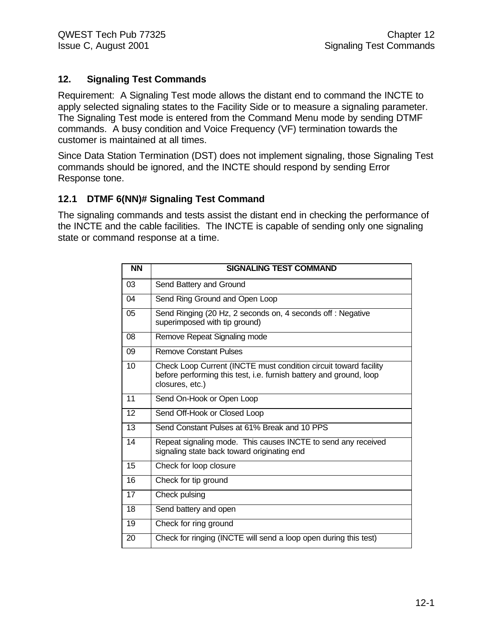### **12. Signaling Test Commands**

Requirement: A Signaling Test mode allows the distant end to command the INCTE to apply selected signaling states to the Facility Side or to measure a signaling parameter. The Signaling Test mode is entered from the Command Menu mode by sending DTMF commands. A busy condition and Voice Frequency (VF) termination towards the customer is maintained at all times.

Since Data Station Termination (DST) does not implement signaling, those Signaling Test commands should be ignored, and the INCTE should respond by sending Error Response tone.

### **12.1 DTMF 6(NN)# Signaling Test Command**

The signaling commands and tests assist the distant end in checking the performance of the INCTE and the cable facilities. The INCTE is capable of sending only one signaling state or command response at a time.

| <b>NN</b>       | <b>SIGNALING TEST COMMAND</b>                                                                                                                             |
|-----------------|-----------------------------------------------------------------------------------------------------------------------------------------------------------|
| 03              | Send Battery and Ground                                                                                                                                   |
| 04              | Send Ring Ground and Open Loop                                                                                                                            |
| 05              | Send Ringing (20 Hz, 2 seconds on, 4 seconds off : Negative<br>superimposed with tip ground)                                                              |
| 08              | Remove Repeat Signaling mode                                                                                                                              |
| 09              | <b>Remove Constant Pulses</b>                                                                                                                             |
| $\overline{10}$ | Check Loop Current (INCTE must condition circuit toward facility<br>before performing this test, i.e. furnish battery and ground, loop<br>closures, etc.) |
| 11              | Send On-Hook or Open Loop                                                                                                                                 |
| 12              | Send Off-Hook or Closed Loop                                                                                                                              |
| 13              | Send Constant Pulses at 61% Break and 10 PPS                                                                                                              |
| 14              | Repeat signaling mode. This causes INCTE to send any received<br>signaling state back toward originating end                                              |
| 15              | Check for loop closure                                                                                                                                    |
| 16              | Check for tip ground                                                                                                                                      |
| 17              | Check pulsing                                                                                                                                             |
| 18              | Send battery and open                                                                                                                                     |
| 19              | Check for ring ground                                                                                                                                     |
| 20              | Check for ringing (INCTE will send a loop open during this test)                                                                                          |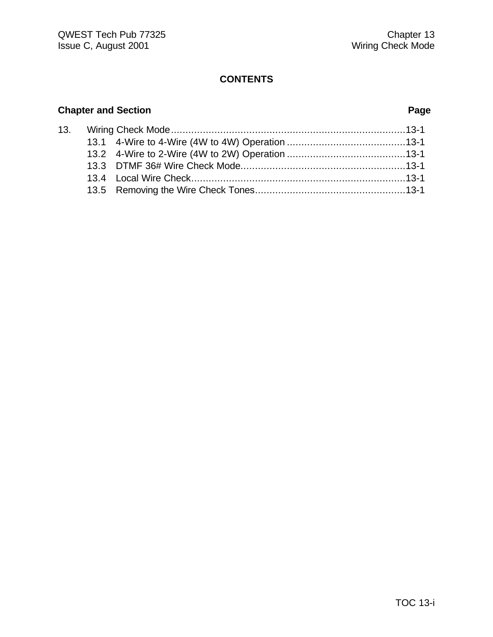# **Chapter and Section Page**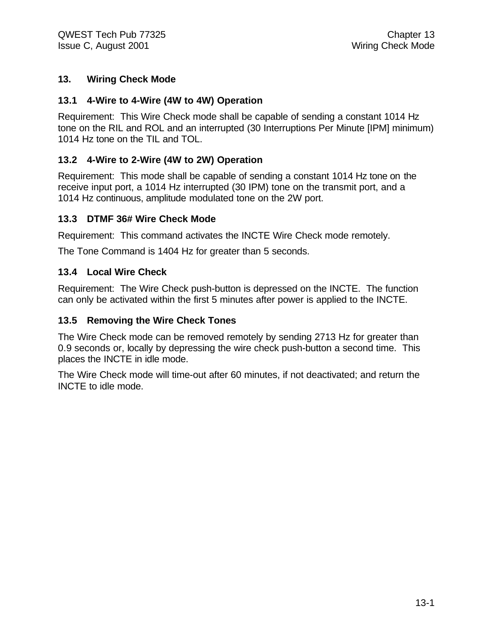### **13. Wiring Check Mode**

#### **13.1 4-Wire to 4-Wire (4W to 4W) Operation**

Requirement: This Wire Check mode shall be capable of sending a constant 1014 Hz tone on the RIL and ROL and an interrupted (30 Interruptions Per Minute [IPM] minimum) 1014 Hz tone on the TIL and TOL.

### **13.2 4-Wire to 2-Wire (4W to 2W) Operation**

Requirement: This mode shall be capable of sending a constant 1014 Hz tone on the receive input port, a 1014 Hz interrupted (30 IPM) tone on the transmit port, and a 1014 Hz continuous, amplitude modulated tone on the 2W port.

#### **13.3 DTMF 36# Wire Check Mode**

Requirement: This command activates the INCTE Wire Check mode remotely.

The Tone Command is 1404 Hz for greater than 5 seconds.

#### **13.4 Local Wire Check**

Requirement: The Wire Check push-button is depressed on the INCTE. The function can only be activated within the first 5 minutes after power is applied to the INCTE.

#### **13.5 Removing the Wire Check Tones**

The Wire Check mode can be removed remotely by sending 2713 Hz for greater than 0.9 seconds or, locally by depressing the wire check push-button a second time. This places the INCTE in idle mode.

The Wire Check mode will time-out after 60 minutes, if not deactivated; and return the INCTE to idle mode.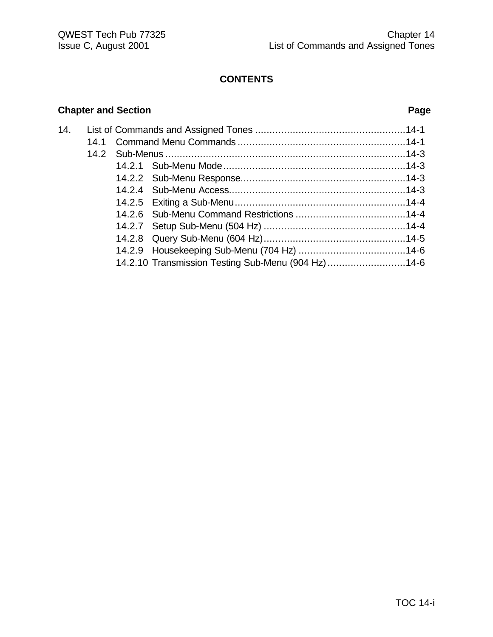# **Chapter and Section Page**

| 14. |  |  |                                                    |  |
|-----|--|--|----------------------------------------------------|--|
|     |  |  |                                                    |  |
|     |  |  |                                                    |  |
|     |  |  |                                                    |  |
|     |  |  |                                                    |  |
|     |  |  |                                                    |  |
|     |  |  |                                                    |  |
|     |  |  |                                                    |  |
|     |  |  |                                                    |  |
|     |  |  |                                                    |  |
|     |  |  |                                                    |  |
|     |  |  | 14.2.10 Transmission Testing Sub-Menu (904 Hz)14-6 |  |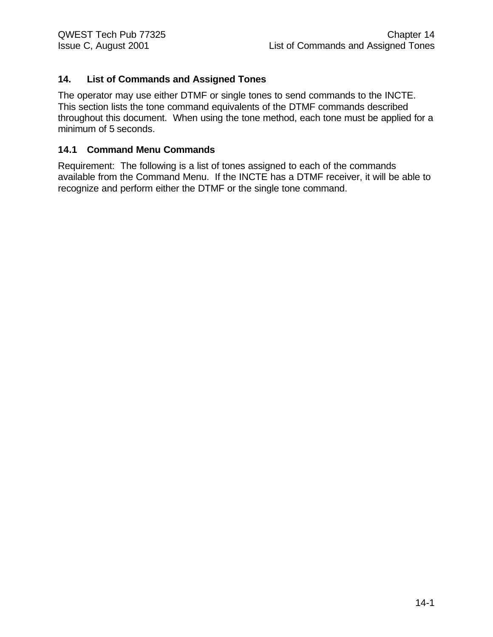# **14. List of Commands and Assigned Tones**

The operator may use either DTMF or single tones to send commands to the INCTE. This section lists the tone command equivalents of the DTMF commands described throughout this document. When using the tone method, each tone must be applied for a minimum of 5 seconds.

#### **14.1 Command Menu Commands**

Requirement: The following is a list of tones assigned to each of the commands available from the Command Menu. If the INCTE has a DTMF receiver, it will be able to recognize and perform either the DTMF or the single tone command.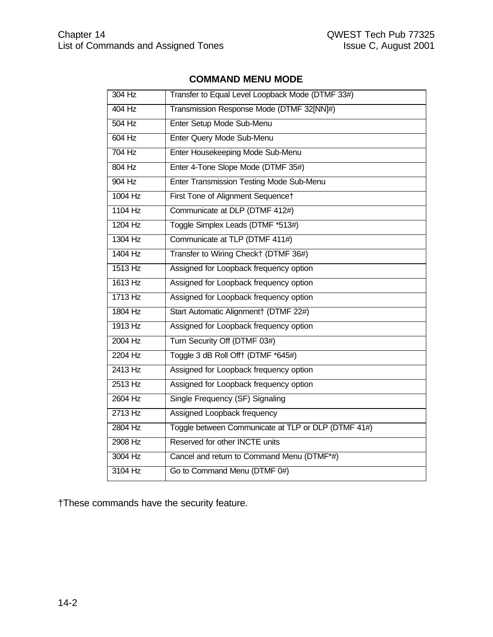# **COMMAND MENU MODE**

| 304 Hz    | Transfer to Equal Level Loopback Mode (DTMF 33#)    |
|-----------|-----------------------------------------------------|
| 404 Hz    | Transmission Response Mode (DTMF 32[NN]#)           |
| $504$ Hz  | Enter Setup Mode Sub-Menu                           |
| 604 Hz    | Enter Query Mode Sub-Menu                           |
| $704$ Hz  | Enter Housekeeping Mode Sub-Menu                    |
| 804 Hz    | Enter 4-Tone Slope Mode (DTMF 35#)                  |
| 904 Hz    | Enter Transmission Testing Mode Sub-Menu            |
| $1004$ Hz | First Tone of Alignment Sequence†                   |
| 1104 Hz   | Communicate at DLP (DTMF 412#)                      |
| 1204 Hz   | Toggle Simplex Leads (DTMF *513#)                   |
| 1304 Hz   | Communicate at TLP (DTMF 411#)                      |
| 1404 Hz   | Transfer to Wiring Check† (DTMF 36#)                |
| 1513 Hz   | Assigned for Loopback frequency option              |
| 1613 Hz   | Assigned for Loopback frequency option              |
| 1713 Hz   | Assigned for Loopback frequency option              |
| 1804 Hz   | Start Automatic Alignment† (DTMF 22#)               |
| 1913 Hz   | Assigned for Loopback frequency option              |
| 2004 Hz   | Turn Security Off (DTMF 03#)                        |
| 2204 Hz   | Toggle 3 dB Roll Off† (DTMF *645#)                  |
| 2413 Hz   | Assigned for Loopback frequency option              |
| 2513 Hz   | Assigned for Loopback frequency option              |
| 2604 Hz   | Single Frequency (SF) Signaling                     |
| 2713 Hz   | Assigned Loopback frequency                         |
| 2804 Hz   | Toggle between Communicate at TLP or DLP (DTMF 41#) |
| 2908 Hz   | Reserved for other INCTE units                      |
| 3004 Hz   | Cancel and return to Command Menu (DTMF*#)          |
| 3104 Hz   | Go to Command Menu (DTMF 0#)                        |

†These commands have the security feature.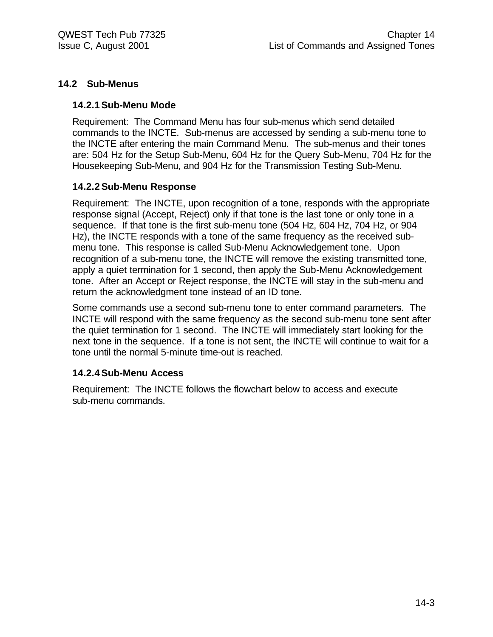### **14.2 Sub-Menus**

#### **14.2.1Sub-Menu Mode**

Requirement: The Command Menu has four sub-menus which send detailed commands to the INCTE. Sub-menus are accessed by sending a sub-menu tone to the INCTE after entering the main Command Menu. The sub-menus and their tones are: 504 Hz for the Setup Sub-Menu, 604 Hz for the Query Sub-Menu, 704 Hz for the Housekeeping Sub-Menu, and 904 Hz for the Transmission Testing Sub-Menu.

#### **14.2.2Sub-Menu Response**

Requirement: The INCTE, upon recognition of a tone, responds with the appropriate response signal (Accept, Reject) only if that tone is the last tone or only tone in a sequence. If that tone is the first sub-menu tone (504 Hz, 604 Hz, 704 Hz, or 904 Hz), the INCTE responds with a tone of the same frequency as the received submenu tone. This response is called Sub-Menu Acknowledgement tone. Upon recognition of a sub-menu tone, the INCTE will remove the existing transmitted tone, apply a quiet termination for 1 second, then apply the Sub-Menu Acknowledgement tone. After an Accept or Reject response, the INCTE will stay in the sub-menu and return the acknowledgment tone instead of an ID tone.

Some commands use a second sub-menu tone to enter command parameters. The INCTE will respond with the same frequency as the second sub-menu tone sent after the quiet termination for 1 second. The INCTE will immediately start looking for the next tone in the sequence. If a tone is not sent, the INCTE will continue to wait for a tone until the normal 5-minute time-out is reached.

#### **14.2.4Sub-Menu Access**

Requirement: The INCTE follows the flowchart below to access and execute sub-menu commands.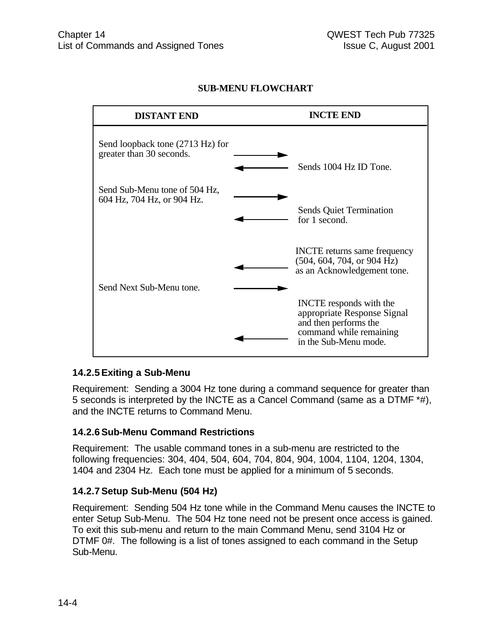## **SUB-MENU FLOWCHART**



#### **14.2.5Exiting a Sub-Menu**

Requirement: Sending a 3004 Hz tone during a command sequence for greater than 5 seconds is interpreted by the INCTE as a Cancel Command (same as a DTMF \*#), and the INCTE returns to Command Menu.

#### **14.2.6Sub-Menu Command Restrictions**

Requirement: The usable command tones in a sub-menu are restricted to the following frequencies: 304, 404, 504, 604, 704, 804, 904, 1004, 1104, 1204, 1304, 1404 and 2304 Hz. Each tone must be applied for a minimum of 5 seconds.

#### **14.2.7Setup Sub-Menu (504 Hz)**

Requirement: Sending 504 Hz tone while in the Command Menu causes the INCTE to enter Setup Sub-Menu. The 504 Hz tone need not be present once access is gained. To exit this sub-menu and return to the main Command Menu, send 3104 Hz or DTMF 0#. The following is a list of tones assigned to each command in the Setup Sub-Menu.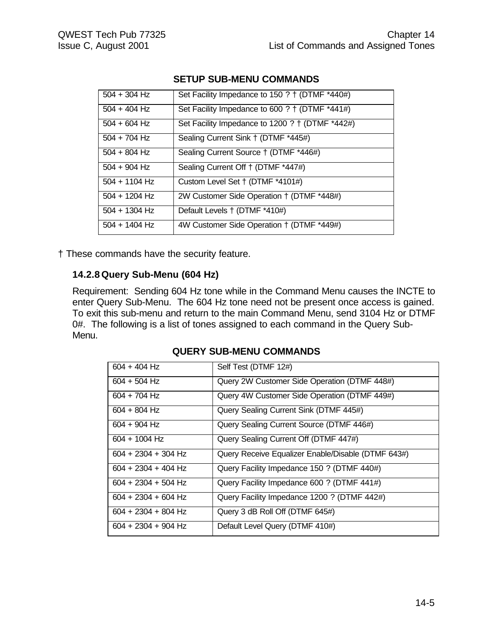| $504 + 304$ Hz  | Set Facility Impedance to 150 ? † (DTMF *440#)  |
|-----------------|-------------------------------------------------|
| $504 + 404$ Hz  | Set Facility Impedance to 600 ? † (DTMF *441#)  |
| $504 + 604$ Hz  | Set Facility Impedance to 1200 ? † (DTMF *442#) |
| $504 + 704$ Hz  | Sealing Current Sink † (DTMF *445#)             |
| $504 + 804$ Hz  | Sealing Current Source † (DTMF *446#)           |
| $504 + 904$ Hz  | Sealing Current Off † (DTMF *447#)              |
| $504 + 1104$ Hz | Custom Level Set † (DTMF *4101#)                |
| $504 + 1204$ Hz | 2W Customer Side Operation † (DTMF *448#)       |
| $504 + 1304$ Hz | Default Levels † (DTMF *410#)                   |
| $504 + 1404$ Hz | 4W Customer Side Operation † (DTMF *449#)       |

#### **SETUP SUB-MENU COMMANDS**

† These commands have the security feature.

#### **14.2.8 Query Sub-Menu (604 Hz)**

Requirement: Sending 604 Hz tone while in the Command Menu causes the INCTE to enter Query Sub-Menu. The 604 Hz tone need not be present once access is gained. To exit this sub-menu and return to the main Command Menu, send 3104 Hz or DTMF 0#. The following is a list of tones assigned to each command in the Query Sub-Menu.

| $604 + 404$ Hz        | Self Test (DTMF 12#)                               |
|-----------------------|----------------------------------------------------|
| $604 + 504$ Hz        | Query 2W Customer Side Operation (DTMF 448#)       |
| $604 + 704$ Hz        | Query 4W Customer Side Operation (DTMF 449#)       |
| $604 + 804$ Hz        | Query Sealing Current Sink (DTMF 445#)             |
| $604 + 904$ Hz        | Query Sealing Current Source (DTMF 446#)           |
| $604 + 1004$ Hz       | Query Sealing Current Off (DTMF 447#)              |
| $604 + 2304 + 304$ Hz | Query Receive Equalizer Enable/Disable (DTMF 643#) |
| $604 + 2304 + 404$ Hz | Query Facility Impedance 150 ? (DTMF 440#)         |
| $604 + 2304 + 504$ Hz | Query Facility Impedance 600 ? (DTMF 441#)         |
| $604 + 2304 + 604$ Hz | Query Facility Impedance 1200 ? (DTMF 442#)        |
| $604 + 2304 + 804$ Hz | Query 3 dB Roll Off (DTMF 645#)                    |
| $604 + 2304 + 904$ Hz | Default Level Query (DTMF 410#)                    |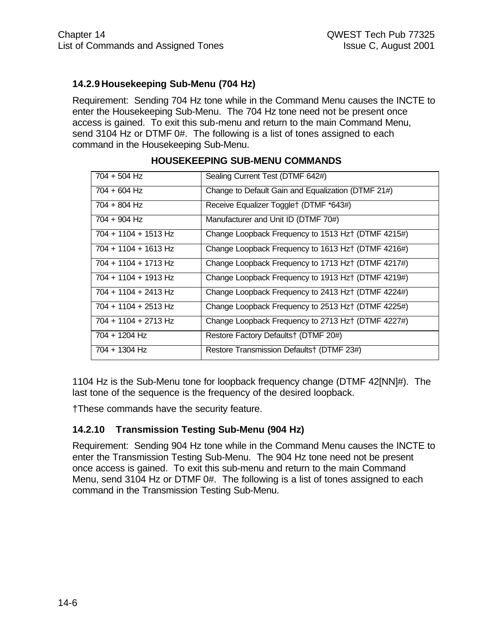# **14.2.9 Housekeeping Sub-Menu (704 Hz)**

Requirement: Sending 704 Hz tone while in the Command Menu causes the INCTE to enter the Housekeeping Sub-Menu. The 704 Hz tone need not be present once access is gained. To exit this sub-menu and return to the main Command Menu, send 3104 Hz or DTMF 0#. The following is a list of tones assigned to each command in the Housekeeping Sub-Menu.

| $704 + 504$ Hz         | Sealing Current Test (DTMF 642#)                    |
|------------------------|-----------------------------------------------------|
| 704 + 604 Hz           | Change to Default Gain and Equalization (DTMF 21#)  |
| 704 + 804 Hz           | Receive Equalizer Toggle† (DTMF *643#)              |
| 704 + 904 Hz           | Manufacturer and Unit ID (DTMF 70#)                 |
| 704 + 1104 + 1513 Hz   | Change Loopback Frequency to 1513 Hz† (DTMF 4215#)  |
| 704 + 1104 + 1613 Hz   | Change Loopback Frequency to 1613 Hz + (DTMF 4216#) |
| 704 + 1104 + 1713 Hz   | Change Loopback Frequency to 1713 Hz + (DTMF 4217#) |
| 704 + 1104 + 1913 Hz   | Change Loopback Frequency to 1913 Hz† (DTMF 4219#)  |
| $704 + 1104 + 2413$ Hz | Change Loopback Frequency to 2413 Hz† (DTMF 4224#)  |
| $704 + 1104 + 2513$ Hz | Change Loopback Frequency to 2513 Hz† (DTMF 4225#)  |
| 704 + 1104 + 2713 Hz   | Change Loopback Frequency to 2713 Hz† (DTMF 4227#)  |
| 704 + 1204 Hz          | Restore Factory Defaults† (DTMF 20#)                |
| 704 + 1304 Hz          | Restore Transmission Defaults† (DTMF 23#)           |
|                        |                                                     |

## **HOUSEKEEPING SUB-MENU COMMANDS**

1104 Hz is the Sub-Menu tone for loopback frequency change (DTMF 42[NN]#). The last tone of the sequence is the frequency of the desired loopback.

†These commands have the security feature.

#### **14.2.10 Transmission Testing Sub-Menu (904 Hz)**

Requirement: Sending 904 Hz tone while in the Command Menu causes the INCTE to enter the Transmission Testing Sub-Menu. The 904 Hz tone need not be present once access is gained. To exit this sub-menu and return to the main Command Menu, send 3104 Hz or DTMF 0#. The following is a list of tones assigned to each command in the Transmission Testing Sub-Menu.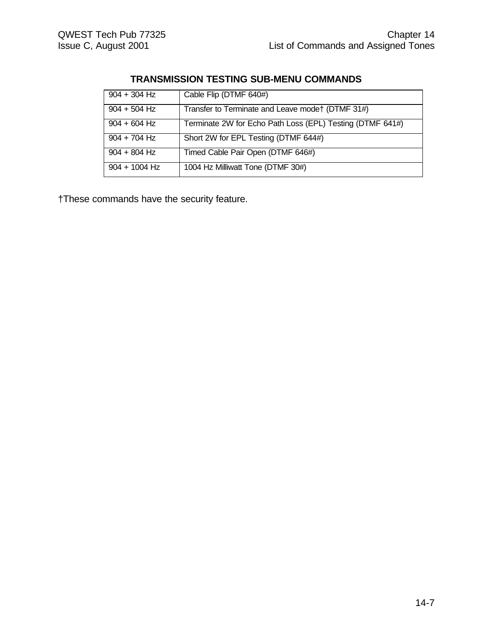# **TRANSMISSION TESTING SUB-MENU COMMANDS**

| $904 + 304$ Hz  | Cable Flip (DTMF 640#)                                    |
|-----------------|-----------------------------------------------------------|
| $904 + 504$ Hz  | Transfer to Terminate and Leave mode† (DTMF 31#)          |
| $904 + 604$ Hz  | Terminate 2W for Echo Path Loss (EPL) Testing (DTMF 641#) |
| $904 + 704$ Hz  | Short 2W for EPL Testing (DTMF 644#)                      |
| $904 + 804$ Hz  | Timed Cable Pair Open (DTMF 646#)                         |
| $904 + 1004$ Hz | 1004 Hz Milliwatt Tone (DTMF 30#)                         |

†These commands have the security feature.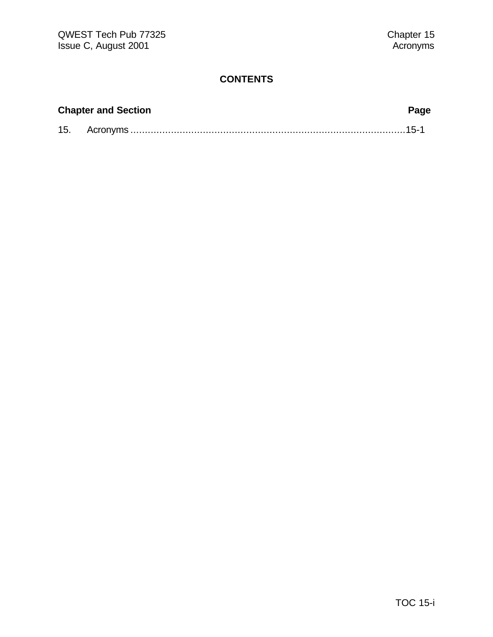| <b>Chapter and Section</b> | Page |
|----------------------------|------|
|                            |      |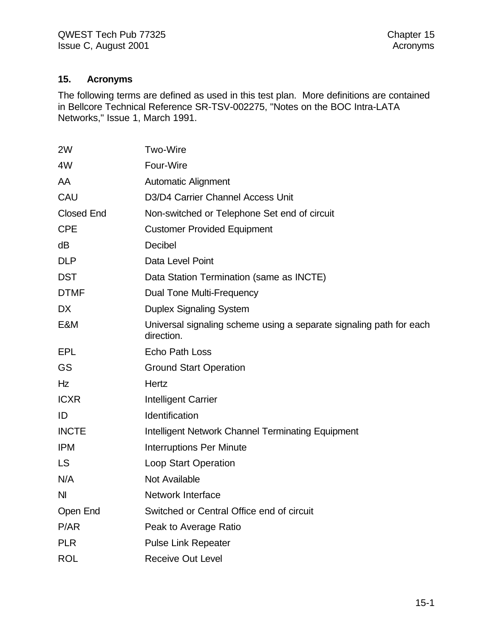#### **15. Acronyms**

The following terms are defined as used in this test plan. More definitions are contained in Bellcore Technical Reference SR-TSV-002275, "Notes on the BOC Intra-LATA Networks," Issue 1, March 1991.

| <b>Two-Wire</b>                                                                   |
|-----------------------------------------------------------------------------------|
| Four-Wire                                                                         |
| <b>Automatic Alignment</b>                                                        |
| D3/D4 Carrier Channel Access Unit                                                 |
| Non-switched or Telephone Set end of circuit                                      |
| <b>Customer Provided Equipment</b>                                                |
| Decibel                                                                           |
| Data Level Point                                                                  |
| Data Station Termination (same as INCTE)                                          |
| Dual Tone Multi-Frequency                                                         |
| <b>Duplex Signaling System</b>                                                    |
| Universal signaling scheme using a separate signaling path for each<br>direction. |
| <b>Echo Path Loss</b>                                                             |
| <b>Ground Start Operation</b>                                                     |
| Hertz                                                                             |
| Intelligent Carrier                                                               |
| Identification                                                                    |
| Intelligent Network Channel Terminating Equipment                                 |
| <b>Interruptions Per Minute</b>                                                   |
| <b>Loop Start Operation</b>                                                       |
| <b>Not Available</b>                                                              |
| <b>Network Interface</b>                                                          |
| Switched or Central Office end of circuit                                         |
| Peak to Average Ratio                                                             |
| <b>Pulse Link Repeater</b>                                                        |
| <b>Receive Out Level</b>                                                          |
|                                                                                   |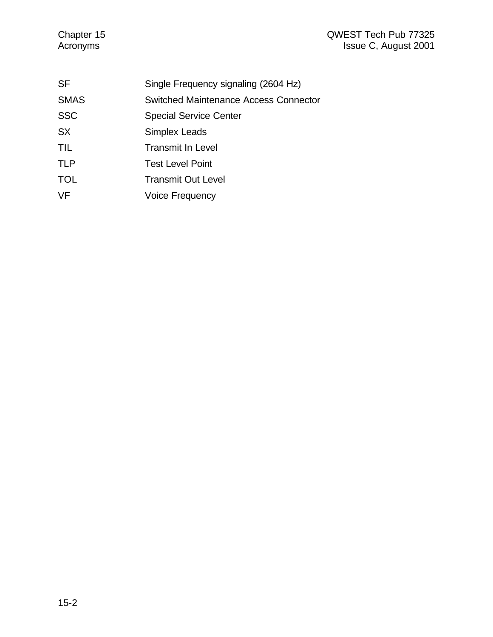### Chapter 15 QWEST Tech Pub 77325 Acronyms **Issue C, August 2001**

| Single Frequency signaling (2604 Hz)  |
|---------------------------------------|
| Switched Maintenance Access Connector |
| <b>Special Service Center</b>         |
| <b>Simplex Leads</b>                  |
| <b>Transmit In Level</b>              |
| <b>Test Level Point</b>               |
| <b>Transmit Out Level</b>             |
| <b>Voice Frequency</b>                |
|                                       |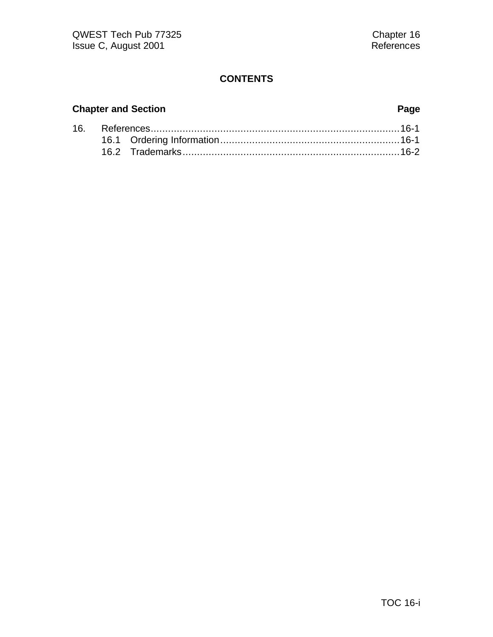# **Chapter and Section Page**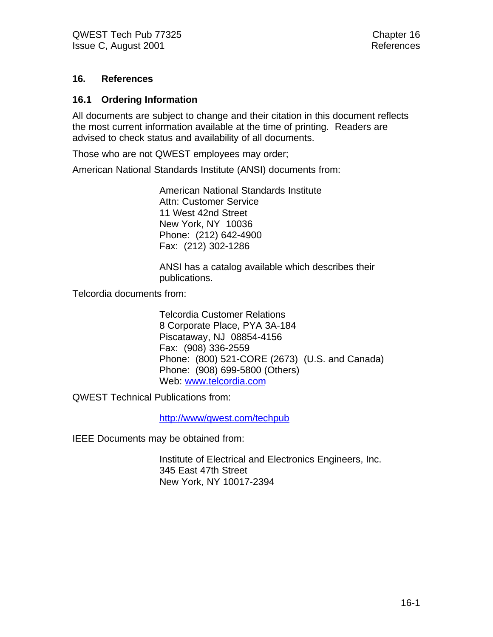#### **16. References**

#### **16.1 Ordering Information**

All documents are subject to change and their citation in this document reflects the most current information available at the time of printing. Readers are advised to check status and availability of all documents.

Those who are not QWEST employees may order;

American National Standards Institute (ANSI) documents from:

American National Standards Institute Attn: Customer Service 11 West 42nd Street New York, NY 10036 Phone: (212) 642-4900 Fax: (212) 302-1286

ANSI has a catalog available which describes their publications.

Telcordia documents from:

Telcordia Customer Relations 8 Corporate Place, PYA 3A-184 Piscataway, NJ 08854-4156 Fax: (908) 336-2559 Phone: (800) 521-CORE (2673) (U.S. and Canada) Phone: (908) 699-5800 (Others) Web: www.telcordia.com

QWEST Technical Publications from:

http://www/qwest.com/techpub

IEEE Documents may be obtained from:

Institute of Electrical and Electronics Engineers, Inc. 345 East 47th Street New York, NY 10017-2394